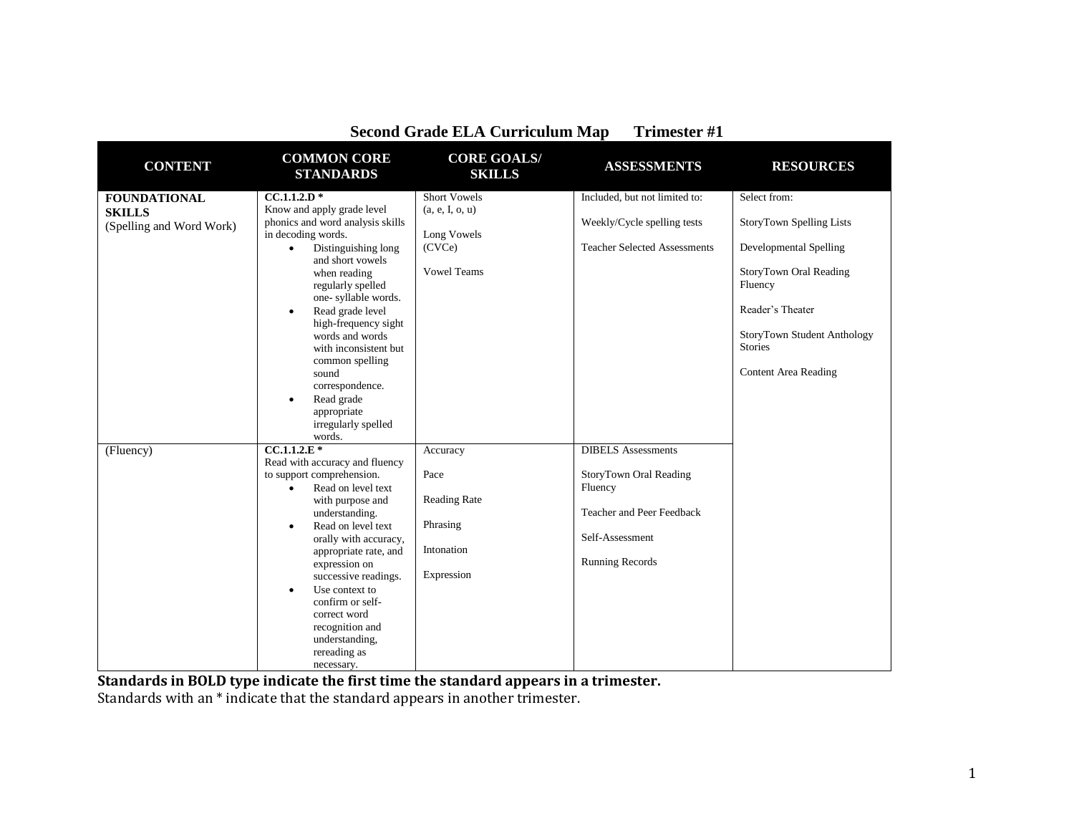| <b>CONTENT</b>           | <b>COMMON CORE</b><br><b>STANDARDS</b>                      | <b>CORE GOALS/</b><br><b>SKILLS</b> | <b>ASSESSMENTS</b>                  | <b>RESOURCES</b>              |
|--------------------------|-------------------------------------------------------------|-------------------------------------|-------------------------------------|-------------------------------|
| <b>FOUNDATIONAL</b>      | $CC.1.1.2.D*$                                               | <b>Short Vowels</b>                 | Included, but not limited to:       | Select from:                  |
| <b>SKILLS</b>            | Know and apply grade level                                  | (a, e, I, o, u)                     |                                     |                               |
| (Spelling and Word Work) | phonics and word analysis skills                            |                                     | Weekly/Cycle spelling tests         | StoryTown Spelling Lists      |
|                          | in decoding words.                                          | Long Vowels                         |                                     |                               |
|                          | Distinguishing long<br>$\bullet$                            | (CVCe)                              | <b>Teacher Selected Assessments</b> | <b>Developmental Spelling</b> |
|                          | and short vowels                                            |                                     |                                     |                               |
|                          | when reading                                                | <b>Vowel Teams</b>                  |                                     | StoryTown Oral Reading        |
|                          | regularly spelled                                           |                                     |                                     | Fluency                       |
|                          | one-syllable words.                                         |                                     |                                     | Reader's Theater              |
|                          | Read grade level<br>$\bullet$<br>high-frequency sight       |                                     |                                     |                               |
|                          | words and words                                             |                                     |                                     | StoryTown Student Anthology   |
|                          | with inconsistent but                                       |                                     |                                     | <b>Stories</b>                |
|                          | common spelling                                             |                                     |                                     |                               |
|                          | sound                                                       |                                     |                                     | <b>Content Area Reading</b>   |
|                          | correspondence.                                             |                                     |                                     |                               |
|                          | Read grade<br>$\bullet$                                     |                                     |                                     |                               |
|                          | appropriate                                                 |                                     |                                     |                               |
|                          | irregularly spelled                                         |                                     |                                     |                               |
|                          | words.                                                      |                                     |                                     |                               |
| (Fluency)                | $\overline{CC.1.1.2.E*}$                                    | Accuracy                            | <b>DIBELS</b> Assessments           |                               |
|                          | Read with accuracy and fluency<br>to support comprehension. | Pace                                | StoryTown Oral Reading              |                               |
|                          | Read on level text<br>$\bullet$                             |                                     | Fluency                             |                               |
|                          | with purpose and                                            | <b>Reading Rate</b>                 |                                     |                               |
|                          | understanding.                                              |                                     | Teacher and Peer Feedback           |                               |
|                          | Read on level text<br>$\bullet$                             | Phrasing                            |                                     |                               |
|                          | orally with accuracy,                                       |                                     | Self-Assessment                     |                               |
|                          | appropriate rate, and                                       | Intonation                          |                                     |                               |
|                          | expression on                                               |                                     | <b>Running Records</b>              |                               |
|                          | successive readings.                                        | Expression                          |                                     |                               |
|                          | Use context to<br>$\bullet$                                 |                                     |                                     |                               |
|                          | confirm or self-                                            |                                     |                                     |                               |
|                          | correct word                                                |                                     |                                     |                               |
|                          | recognition and<br>understanding,                           |                                     |                                     |                               |
|                          | rereading as                                                |                                     |                                     |                               |
|                          | necessary.                                                  |                                     |                                     |                               |

**Standards in BOLD type indicate the first time the standard appears in a trimester.**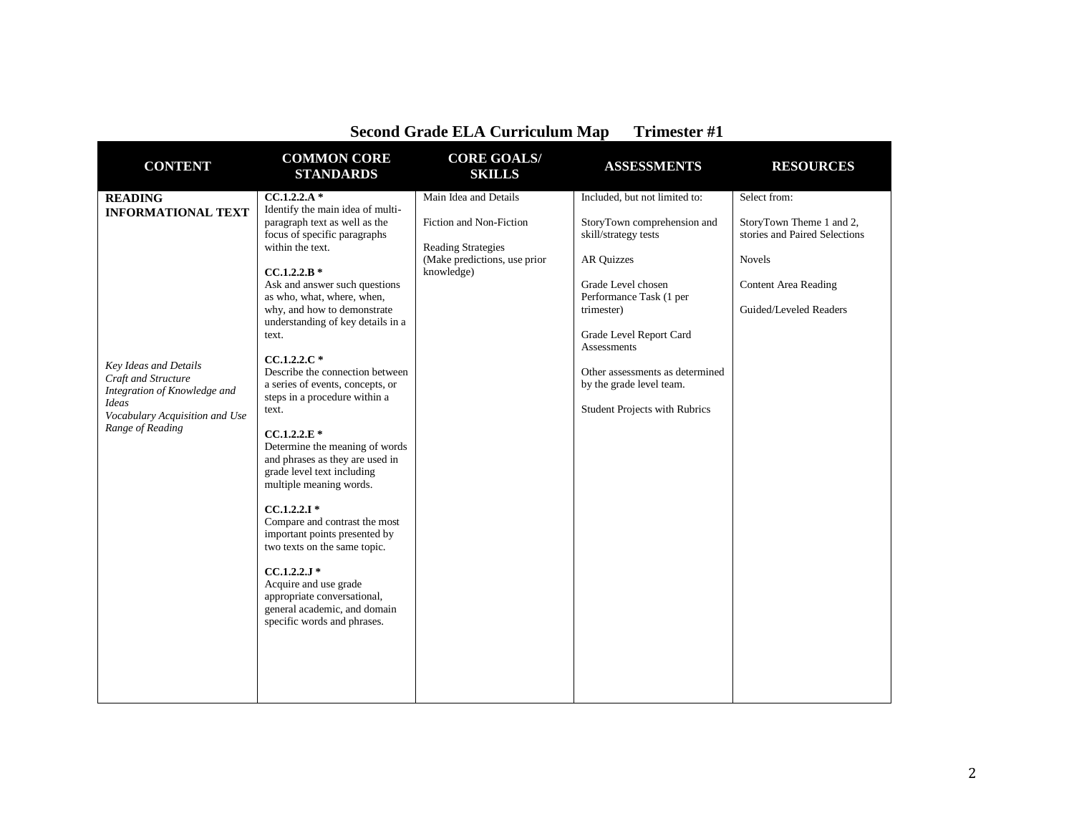| <b>CONTENT</b>                                                                                                                                                                             | <b>COMMON CORE</b><br><b>STANDARDS</b>                                                                                                                                                                                                                                                                                                                                                                                                                                                                                                                                                                                                                                                                                                                                                                                                          | <b>CORE GOALS/</b><br><b>SKILLS</b>                                                                                         | <b>ASSESSMENTS</b>                                                                                                                                                                                                                                                                                                 | <b>RESOURCES</b>                                                                                                                                    |
|--------------------------------------------------------------------------------------------------------------------------------------------------------------------------------------------|-------------------------------------------------------------------------------------------------------------------------------------------------------------------------------------------------------------------------------------------------------------------------------------------------------------------------------------------------------------------------------------------------------------------------------------------------------------------------------------------------------------------------------------------------------------------------------------------------------------------------------------------------------------------------------------------------------------------------------------------------------------------------------------------------------------------------------------------------|-----------------------------------------------------------------------------------------------------------------------------|--------------------------------------------------------------------------------------------------------------------------------------------------------------------------------------------------------------------------------------------------------------------------------------------------------------------|-----------------------------------------------------------------------------------------------------------------------------------------------------|
| <b>READING</b><br><b>INFORMATIONAL TEXT</b><br>Key Ideas and Details<br>Craft and Structure<br>Integration of Knowledge and<br>Ideas<br>Vocabulary Acquisition and Use<br>Range of Reading | $CC.1.2.2.A*$<br>Identify the main idea of multi-<br>paragraph text as well as the<br>focus of specific paragraphs<br>within the text.<br>$CC.1.2.2.B*$<br>Ask and answer such questions<br>as who, what, where, when,<br>why, and how to demonstrate<br>understanding of key details in a<br>text.<br>$CC.1.2.2.C*$<br>Describe the connection between<br>a series of events, concepts, or<br>steps in a procedure within a<br>text.<br>$CC.1.2.2.E*$<br>Determine the meaning of words<br>and phrases as they are used in<br>grade level text including<br>multiple meaning words.<br>$CC.1.2.2.1*$<br>Compare and contrast the most<br>important points presented by<br>two texts on the same topic.<br>$CC.1.2.2.J*$<br>Acquire and use grade<br>appropriate conversational,<br>general academic, and domain<br>specific words and phrases. | Main Idea and Details<br>Fiction and Non-Fiction<br><b>Reading Strategies</b><br>(Make predictions, use prior<br>knowledge) | Included, but not limited to:<br>StoryTown comprehension and<br>skill/strategy tests<br><b>AR Quizzes</b><br>Grade Level chosen<br>Performance Task (1 per<br>trimester)<br>Grade Level Report Card<br>Assessments<br>Other assessments as determined<br>by the grade level team.<br>Student Projects with Rubrics | Select from:<br>StoryTown Theme 1 and 2,<br>stories and Paired Selections<br><b>Novels</b><br><b>Content Area Reading</b><br>Guided/Leveled Readers |
|                                                                                                                                                                                            |                                                                                                                                                                                                                                                                                                                                                                                                                                                                                                                                                                                                                                                                                                                                                                                                                                                 |                                                                                                                             |                                                                                                                                                                                                                                                                                                                    |                                                                                                                                                     |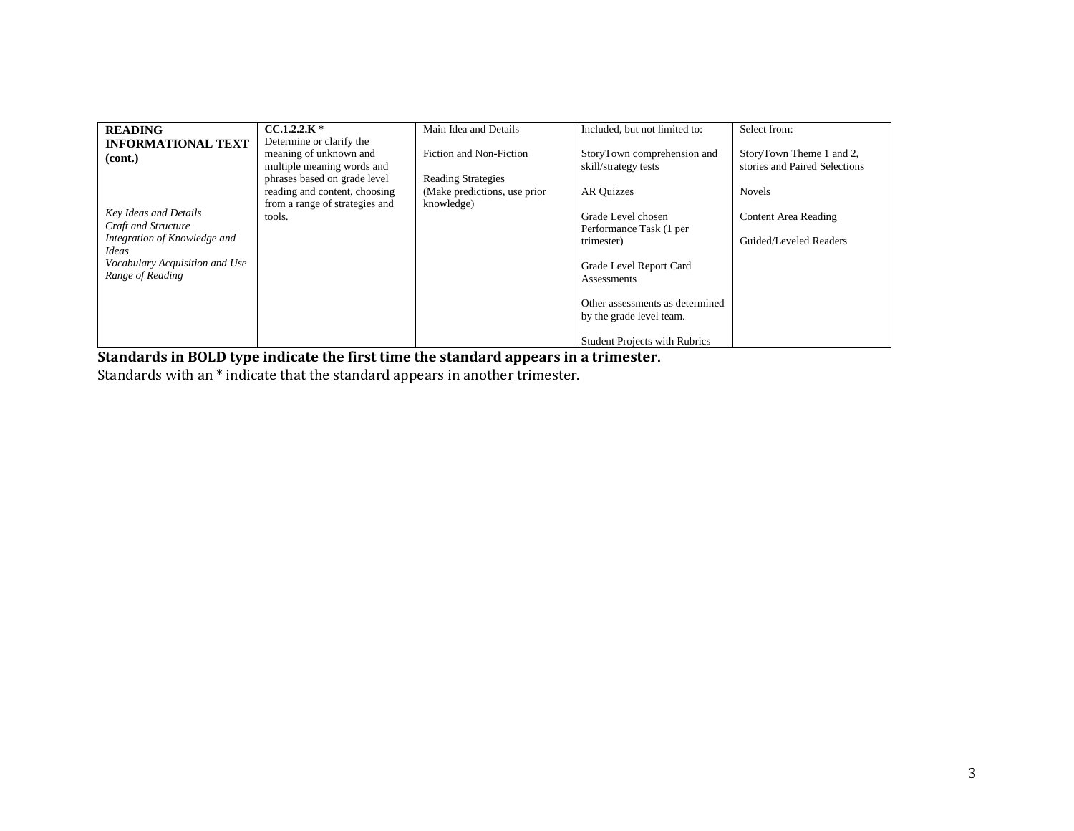| <b>READING</b>                 | $CCA.2.2.K*$                   | Main Idea and Details         | Included, but not limited to:                 | Select from:                  |
|--------------------------------|--------------------------------|-------------------------------|-----------------------------------------------|-------------------------------|
| <b>INFORMATIONAL TEXT</b>      | Determine or clarify the       |                               |                                               |                               |
| (cont.)                        | meaning of unknown and         | Fiction and Non-Fiction       | StoryTown comprehension and                   | StoryTown Theme 1 and 2,      |
|                                | multiple meaning words and     |                               | skill/strategy tests                          | stories and Paired Selections |
|                                | phrases based on grade level   | <b>Reading Strategies</b>     |                                               |                               |
|                                | reading and content, choosing  | (Make predictions, use prior) | <b>AR Quizzes</b>                             | <b>Novels</b>                 |
| Key Ideas and Details          | from a range of strategies and | knowledge)                    |                                               |                               |
| Craft and Structure            | tools.                         |                               | Grade Level chosen                            | Content Area Reading          |
| Integration of Knowledge and   |                                |                               | Performance Task (1 per                       |                               |
| Ideas                          |                                |                               | trimester)                                    | Guided/Leveled Readers        |
| Vocabulary Acquisition and Use |                                |                               |                                               |                               |
| Range of Reading               |                                |                               | Grade Level Report Card<br><b>Assessments</b> |                               |
|                                |                                |                               |                                               |                               |
|                                |                                |                               | Other assessments as determined               |                               |
|                                |                                |                               | by the grade level team.                      |                               |
|                                |                                |                               |                                               |                               |
|                                |                                |                               | <b>Student Projects with Rubrics</b>          |                               |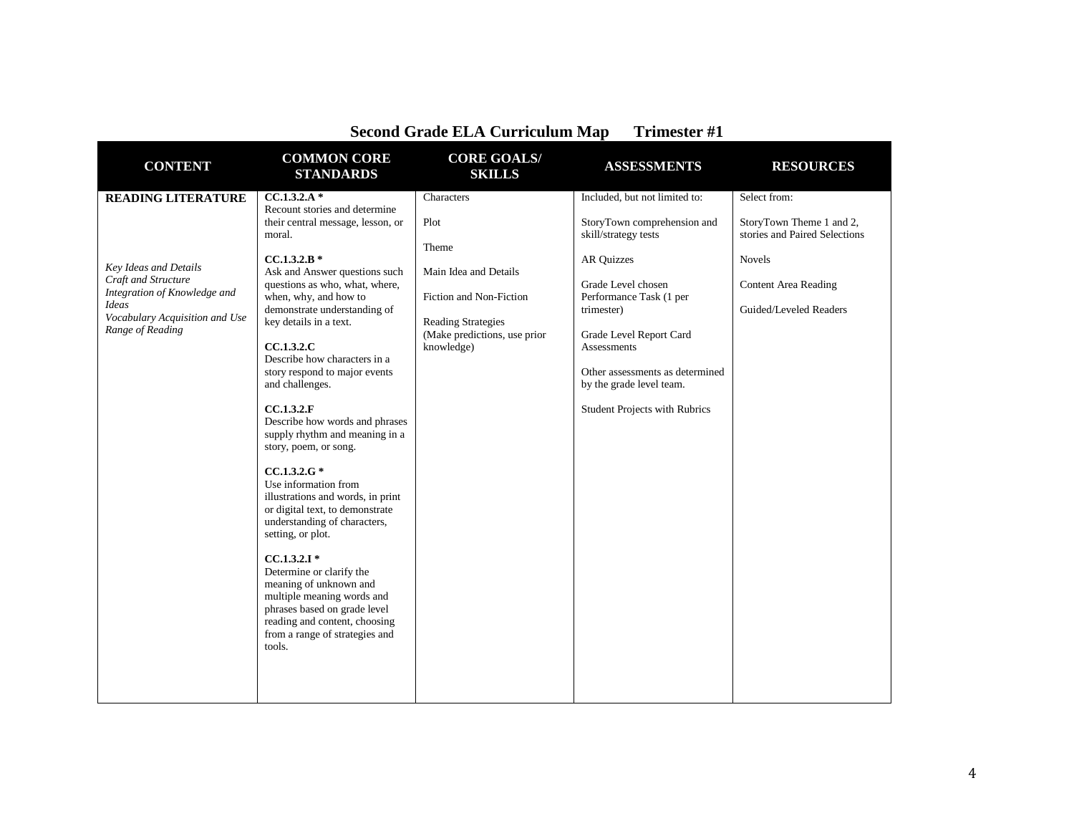| Second Grade ELA Curriculum Map<br>$11111C51C1 \pi1$                                                                                               |                                                                                                                                                                                                                                                                                                                                                                                                                                                                 |                                                                                                                                              |                                                                                                                                                                                                                                                                                                 |                                                                                                                                     |  |
|----------------------------------------------------------------------------------------------------------------------------------------------------|-----------------------------------------------------------------------------------------------------------------------------------------------------------------------------------------------------------------------------------------------------------------------------------------------------------------------------------------------------------------------------------------------------------------------------------------------------------------|----------------------------------------------------------------------------------------------------------------------------------------------|-------------------------------------------------------------------------------------------------------------------------------------------------------------------------------------------------------------------------------------------------------------------------------------------------|-------------------------------------------------------------------------------------------------------------------------------------|--|
| <b>CONTENT</b>                                                                                                                                     | <b>COMMON CORE</b><br><b>STANDARDS</b>                                                                                                                                                                                                                                                                                                                                                                                                                          | <b>CORE GOALS/</b><br><b>SKILLS</b>                                                                                                          | <b>ASSESSMENTS</b>                                                                                                                                                                                                                                                                              | <b>RESOURCES</b>                                                                                                                    |  |
| <b>READING LITERATURE</b>                                                                                                                          | $CC.1.3.2.A*$                                                                                                                                                                                                                                                                                                                                                                                                                                                   | Characters                                                                                                                                   | Included, but not limited to:                                                                                                                                                                                                                                                                   | Select from:                                                                                                                        |  |
| Key Ideas and Details<br>Craft and Structure<br>Integration of Knowledge and<br><b>Ideas</b><br>Vocabulary Acquisition and Use<br>Range of Reading | Recount stories and determine<br>their central message, lesson, or<br>moral.<br>$CC.1.3.2.B*$<br>Ask and Answer questions such<br>questions as who, what, where,<br>when, why, and how to<br>demonstrate understanding of<br>key details in a text.<br>CCA.3.2.C<br>Describe how characters in a<br>story respond to major events<br>and challenges.<br>CC.1.3.2.F<br>Describe how words and phrases<br>supply rhythm and meaning in a<br>story, poem, or song. | Plot<br>Theme<br>Main Idea and Details<br>Fiction and Non-Fiction<br><b>Reading Strategies</b><br>(Make predictions, use prior<br>knowledge) | StoryTown comprehension and<br>skill/strategy tests<br><b>AR Quizzes</b><br>Grade Level chosen<br>Performance Task (1 per<br>trimester)<br>Grade Level Report Card<br><b>Assessments</b><br>Other assessments as determined<br>by the grade level team.<br><b>Student Projects with Rubrics</b> | StoryTown Theme 1 and 2,<br>stories and Paired Selections<br><b>Novels</b><br><b>Content Area Reading</b><br>Guided/Leveled Readers |  |
|                                                                                                                                                    | $CC.1.3.2.G*$<br>Use information from<br>illustrations and words, in print<br>or digital text, to demonstrate<br>understanding of characters,<br>setting, or plot.<br>$CC.1.3.2.1*$<br>Determine or clarify the<br>meaning of unknown and<br>multiple meaning words and<br>phrases based on grade level<br>reading and content, choosing<br>from a range of strategies and<br>tools.                                                                            |                                                                                                                                              |                                                                                                                                                                                                                                                                                                 |                                                                                                                                     |  |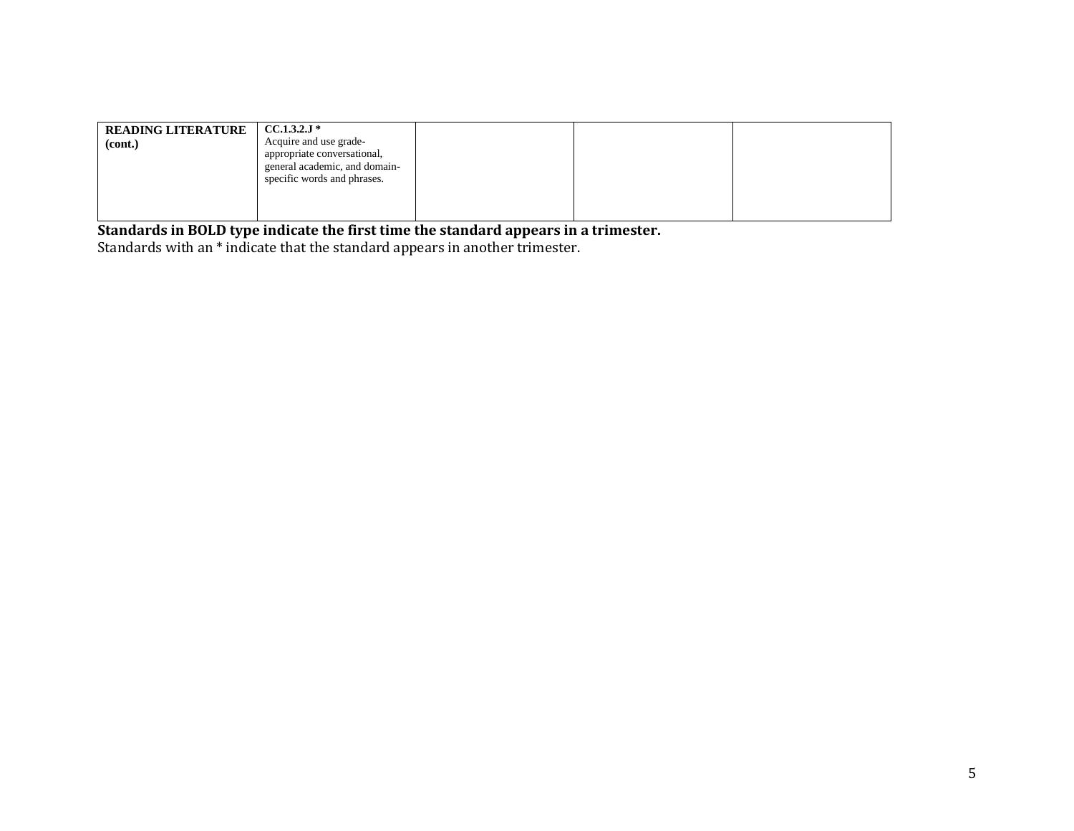| Acquire and use grade-<br>(cont.)<br>appropriate conversational,<br>general academic, and domain-<br>specific words and phrases. |  |
|----------------------------------------------------------------------------------------------------------------------------------|--|
|----------------------------------------------------------------------------------------------------------------------------------|--|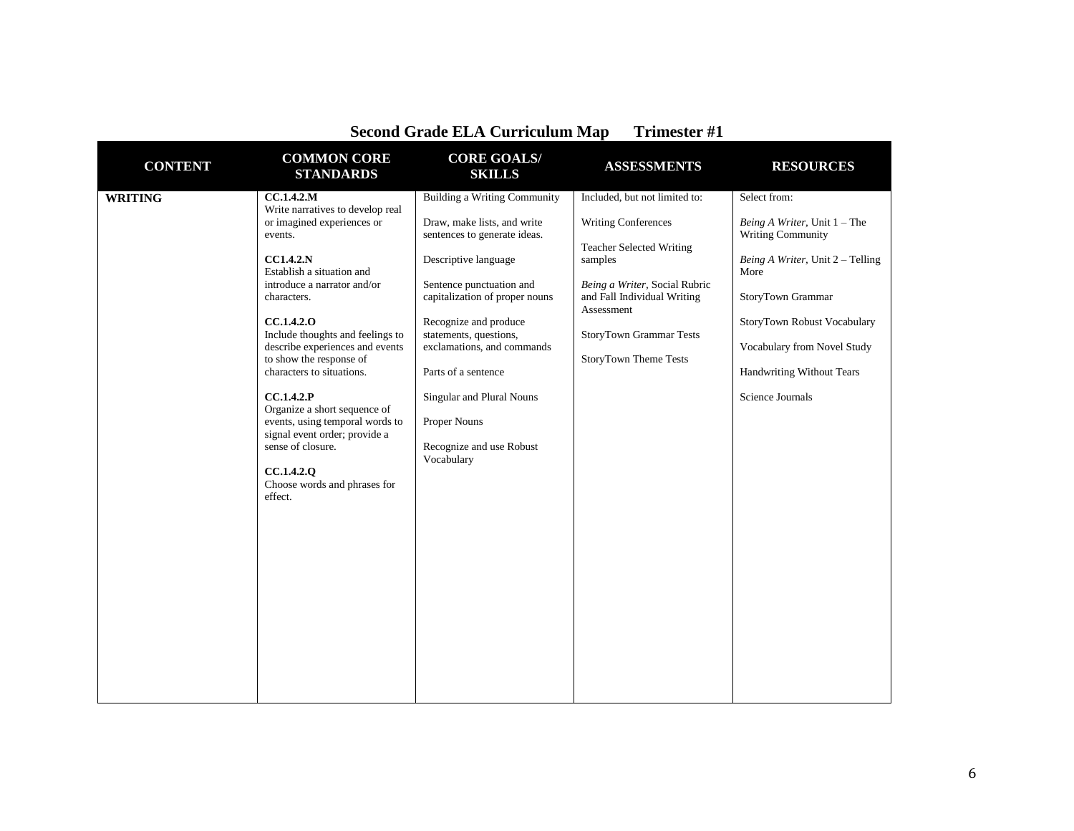| <b>CONTENT</b> | <b>COMMON CORE</b><br><b>STANDARDS</b>                                                                                                                                                                                                                                                                                                                                                                                                                                                                                              | <b>CORE GOALS/</b><br><b>SKILLS</b>                                                                                                                                                                                                                                                                                                                                                     | <b>ASSESSMENTS</b>                                                                                                                                                                                                                          | <b>RESOURCES</b>                                                                                                                                                                                                                                                          |
|----------------|-------------------------------------------------------------------------------------------------------------------------------------------------------------------------------------------------------------------------------------------------------------------------------------------------------------------------------------------------------------------------------------------------------------------------------------------------------------------------------------------------------------------------------------|-----------------------------------------------------------------------------------------------------------------------------------------------------------------------------------------------------------------------------------------------------------------------------------------------------------------------------------------------------------------------------------------|---------------------------------------------------------------------------------------------------------------------------------------------------------------------------------------------------------------------------------------------|---------------------------------------------------------------------------------------------------------------------------------------------------------------------------------------------------------------------------------------------------------------------------|
| <b>WRITING</b> | CC.1.4.2.M<br>Write narratives to develop real<br>or imagined experiences or<br>events.<br><b>CC1.4.2.N</b><br>Establish a situation and<br>introduce a narrator and/or<br>characters.<br>CC.1.4.2.0<br>Include thoughts and feelings to<br>describe experiences and events<br>to show the response of<br>characters to situations.<br>CC.1.4.2.P<br>Organize a short sequence of<br>events, using temporal words to<br>signal event order; provide a<br>sense of closure.<br>CC.1.4.2.0<br>Choose words and phrases for<br>effect. | <b>Building a Writing Community</b><br>Draw, make lists, and write<br>sentences to generate ideas.<br>Descriptive language<br>Sentence punctuation and<br>capitalization of proper nouns<br>Recognize and produce<br>statements, questions,<br>exclamations, and commands<br>Parts of a sentence<br>Singular and Plural Nouns<br>Proper Nouns<br>Recognize and use Robust<br>Vocabulary | Included, but not limited to:<br><b>Writing Conferences</b><br><b>Teacher Selected Writing</b><br>samples<br>Being a Writer, Social Rubric<br>and Fall Individual Writing<br>Assessment<br>StoryTown Grammar Tests<br>StoryTown Theme Tests | Select from:<br><i>Being A Writer</i> , Unit $1 -$ The<br><b>Writing Community</b><br>Being A Writer, Unit 2 - Telling<br>More<br>StoryTown Grammar<br>StoryTown Robust Vocabulary<br>Vocabulary from Novel Study<br><b>Handwriting Without Tears</b><br>Science Journals |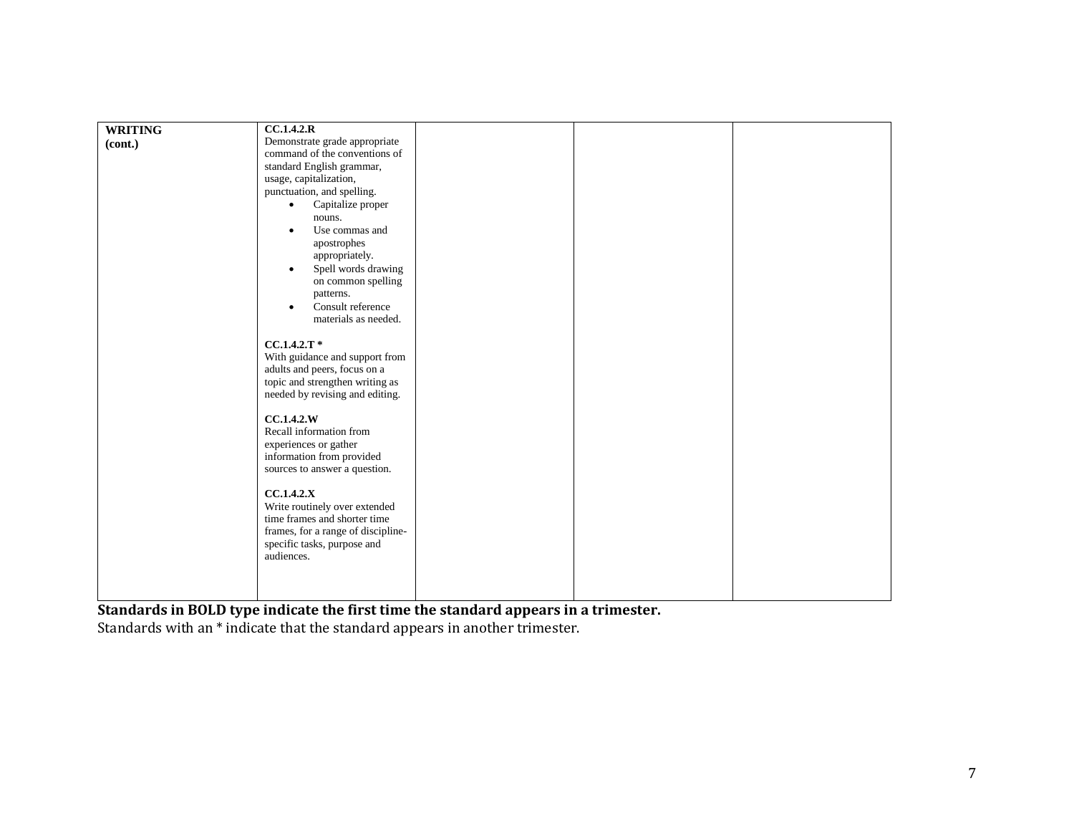| <b>WRITING</b> | CC.1.4.2.R                         |  |  |
|----------------|------------------------------------|--|--|
| (cont.)        | Demonstrate grade appropriate      |  |  |
|                | command of the conventions of      |  |  |
|                | standard English grammar,          |  |  |
|                | usage, capitalization,             |  |  |
|                | punctuation, and spelling.         |  |  |
|                | Capitalize proper<br>$\bullet$     |  |  |
|                | nouns.                             |  |  |
|                | Use commas and<br>$\bullet$        |  |  |
|                | apostrophes                        |  |  |
|                | appropriately.                     |  |  |
|                | Spell words drawing<br>$\bullet$   |  |  |
|                | on common spelling                 |  |  |
|                | patterns.                          |  |  |
|                | Consult reference                  |  |  |
|                | materials as needed.               |  |  |
|                |                                    |  |  |
|                | $CC.1.4.2.T*$                      |  |  |
|                | With guidance and support from     |  |  |
|                | adults and peers, focus on a       |  |  |
|                | topic and strengthen writing as    |  |  |
|                | needed by revising and editing.    |  |  |
|                |                                    |  |  |
|                | CC.1.4.2.W                         |  |  |
|                | Recall information from            |  |  |
|                | experiences or gather              |  |  |
|                | information from provided          |  |  |
|                | sources to answer a question.      |  |  |
|                |                                    |  |  |
|                | CC.1.4.2.X                         |  |  |
|                | Write routinely over extended      |  |  |
|                | time frames and shorter time       |  |  |
|                | frames, for a range of discipline- |  |  |
|                | specific tasks, purpose and        |  |  |
|                | audiences.                         |  |  |
|                |                                    |  |  |
|                |                                    |  |  |
|                |                                    |  |  |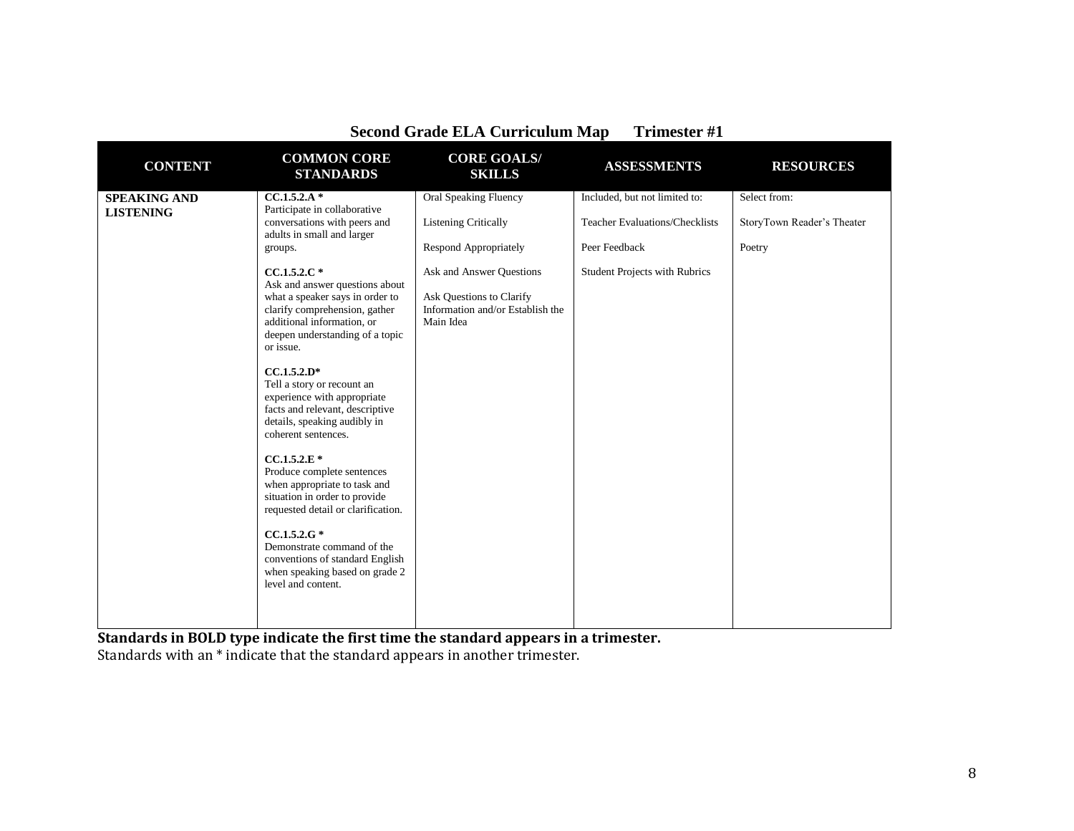| <b>CONTENT</b>                          | <b>COMMON CORE</b><br><b>STANDARDS</b>                                                                                                                                                                                                                                                                                                                                                                                                                                                                                                                                                                                                                                    | <b>CORE GOALS/</b><br><b>SKILLS</b>                                                                   | <b>ASSESSMENTS</b>                                                     | <b>RESOURCES</b>                           |
|-----------------------------------------|---------------------------------------------------------------------------------------------------------------------------------------------------------------------------------------------------------------------------------------------------------------------------------------------------------------------------------------------------------------------------------------------------------------------------------------------------------------------------------------------------------------------------------------------------------------------------------------------------------------------------------------------------------------------------|-------------------------------------------------------------------------------------------------------|------------------------------------------------------------------------|--------------------------------------------|
| <b>SPEAKING AND</b><br><b>LISTENING</b> | $CC.1.5.2.A*$<br>Participate in collaborative<br>conversations with peers and<br>adults in small and larger                                                                                                                                                                                                                                                                                                                                                                                                                                                                                                                                                               | <b>Oral Speaking Fluency</b><br><b>Listening Critically</b>                                           | Included, but not limited to:<br><b>Teacher Evaluations/Checklists</b> | Select from:<br>StoryTown Reader's Theater |
|                                         | groups.                                                                                                                                                                                                                                                                                                                                                                                                                                                                                                                                                                                                                                                                   | <b>Respond Appropriately</b>                                                                          | Peer Feedback                                                          | Poetry                                     |
|                                         | $CC.1.5.2.C*$<br>Ask and answer questions about<br>what a speaker says in order to<br>clarify comprehension, gather<br>additional information, or<br>deepen understanding of a topic<br>or issue.<br>$CC.1.5.2.D*$<br>Tell a story or recount an<br>experience with appropriate<br>facts and relevant, descriptive<br>details, speaking audibly in<br>coherent sentences.<br>$CC.1.5.2.E*$<br>Produce complete sentences<br>when appropriate to task and<br>situation in order to provide<br>requested detail or clarification.<br>$CC.1.5.2.G*$<br>Demonstrate command of the<br>conventions of standard English<br>when speaking based on grade 2<br>level and content. | Ask and Answer Questions<br>Ask Questions to Clarify<br>Information and/or Establish the<br>Main Idea | <b>Student Projects with Rubrics</b>                                   |                                            |
|                                         |                                                                                                                                                                                                                                                                                                                                                                                                                                                                                                                                                                                                                                                                           |                                                                                                       |                                                                        |                                            |

**Standards in BOLD type indicate the first time the standard appears in a trimester.**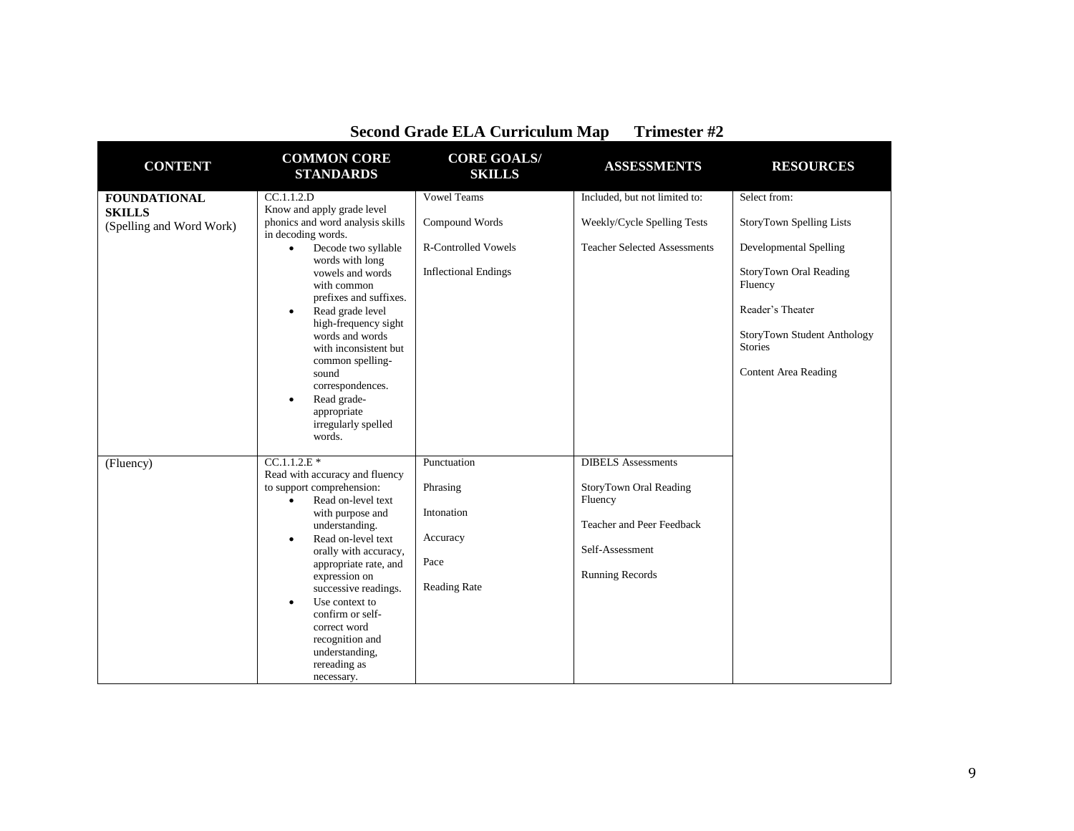| <b>CONTENT</b>                            | <b>COMMON CORE</b><br><b>STANDARDS</b>                                                                                    | <b>CORE GOALS/</b><br><b>SKILLS</b> | <b>ASSESSMENTS</b>                  | <b>RESOURCES</b>                                |
|-------------------------------------------|---------------------------------------------------------------------------------------------------------------------------|-------------------------------------|-------------------------------------|-------------------------------------------------|
| <b>FOUNDATIONAL</b>                       | CC.1.1.2.D                                                                                                                | <b>Vowel Teams</b>                  | Included, but not limited to:       | Select from:                                    |
| <b>SKILLS</b><br>(Spelling and Word Work) | Know and apply grade level<br>phonics and word analysis skills<br>in decoding words.                                      | Compound Words                      | Weekly/Cycle Spelling Tests         | <b>StoryTown Spelling Lists</b>                 |
|                                           | Decode two syllable<br>$\bullet$<br>words with long                                                                       | <b>R-Controlled Vowels</b>          | <b>Teacher Selected Assessments</b> | Developmental Spelling                          |
|                                           | vowels and words<br>with common<br>prefixes and suffixes.                                                                 | <b>Inflectional Endings</b>         |                                     | StoryTown Oral Reading<br>Fluency               |
|                                           | Read grade level<br>$\bullet$<br>high-frequency sight<br>words and words                                                  |                                     |                                     | Reader's Theater<br>StoryTown Student Anthology |
|                                           | with inconsistent but                                                                                                     |                                     |                                     | <b>Stories</b>                                  |
|                                           | common spelling-<br>sound<br>correspondences.<br>Read grade-<br>$\bullet$<br>appropriate<br>irregularly spelled<br>words. |                                     |                                     | <b>Content Area Reading</b>                     |
| (Fluency)                                 | $CC.1.1.2.E*$                                                                                                             | Punctuation                         | <b>DIBELS</b> Assessments           |                                                 |
|                                           | Read with accuracy and fluency<br>to support comprehension:<br>Read on-level text<br>$\bullet$<br>with purpose and        | Phrasing<br>Intonation              | StoryTown Oral Reading<br>Fluency   |                                                 |
|                                           | understanding.                                                                                                            |                                     | Teacher and Peer Feedback           |                                                 |
|                                           | Read on-level text<br>$\bullet$<br>orally with accuracy,                                                                  | Accuracy                            | Self-Assessment                     |                                                 |
|                                           | appropriate rate, and<br>expression on<br>successive readings.                                                            | Pace<br><b>Reading Rate</b>         | <b>Running Records</b>              |                                                 |
|                                           | Use context to<br>$\bullet$<br>confirm or self-                                                                           |                                     |                                     |                                                 |
|                                           | correct word<br>recognition and                                                                                           |                                     |                                     |                                                 |
|                                           | understanding,<br>rereading as                                                                                            |                                     |                                     |                                                 |
|                                           | necessary.                                                                                                                |                                     |                                     |                                                 |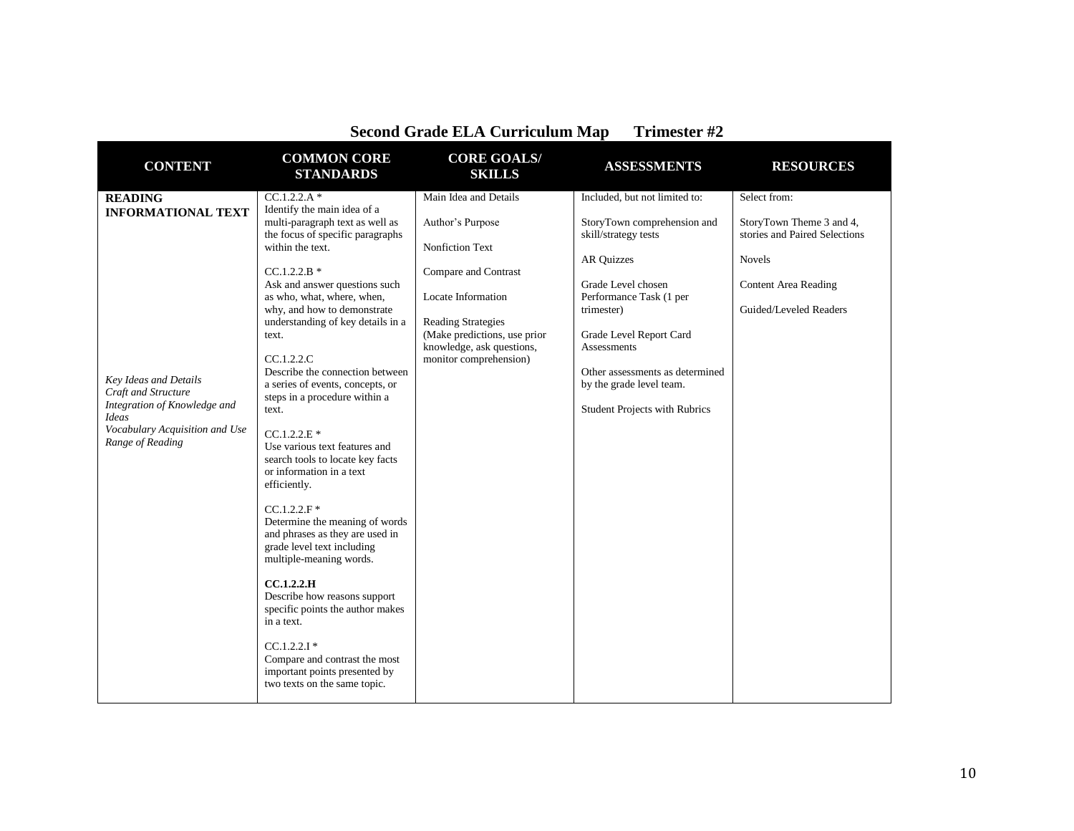| <b>CONTENT</b>                                                                                                                                                                                    | <b>COMMON CORE</b><br><b>STANDARDS</b>                                                                                                                                                                                                                                                                                                                                                                                                                                                                                                                                                                                                                                                                                                                                                                                                                                  | <b>CORE GOALS/</b><br><b>SKILLS</b>                                                                                                                                                                                                    | <b>ASSESSMENTS</b>                                                                                                                                                                                                                                                                                                 | <b>RESOURCES</b>                                                                                                                             |
|---------------------------------------------------------------------------------------------------------------------------------------------------------------------------------------------------|-------------------------------------------------------------------------------------------------------------------------------------------------------------------------------------------------------------------------------------------------------------------------------------------------------------------------------------------------------------------------------------------------------------------------------------------------------------------------------------------------------------------------------------------------------------------------------------------------------------------------------------------------------------------------------------------------------------------------------------------------------------------------------------------------------------------------------------------------------------------------|----------------------------------------------------------------------------------------------------------------------------------------------------------------------------------------------------------------------------------------|--------------------------------------------------------------------------------------------------------------------------------------------------------------------------------------------------------------------------------------------------------------------------------------------------------------------|----------------------------------------------------------------------------------------------------------------------------------------------|
| <b>READING</b><br><b>INFORMATIONAL TEXT</b><br>Key Ideas and Details<br>Craft and Structure<br>Integration of Knowledge and<br><b>Ideas</b><br>Vocabulary Acquisition and Use<br>Range of Reading | $CC.1.2.2.A*$<br>Identify the main idea of a<br>multi-paragraph text as well as<br>the focus of specific paragraphs<br>within the text.<br>$CC.1.2.2.B*$<br>Ask and answer questions such<br>as who, what, where, when,<br>why, and how to demonstrate<br>understanding of key details in a<br>text.<br>CC.1.2.2.C<br>Describe the connection between<br>a series of events, concepts, or<br>steps in a procedure within a<br>text.<br>$CC.1.2.2.E*$<br>Use various text features and<br>search tools to locate key facts<br>or information in a text<br>efficiently.<br>$CC.1.2.2.F$ *<br>Determine the meaning of words<br>and phrases as they are used in<br>grade level text including<br>multiple-meaning words.<br>CC.1.2.2.H<br>Describe how reasons support<br>specific points the author makes<br>in a text.<br>$CC.1.2.2.1*$<br>Compare and contrast the most | Main Idea and Details<br>Author's Purpose<br><b>Nonfiction Text</b><br>Compare and Contrast<br>Locate Information<br><b>Reading Strategies</b><br>(Make predictions, use prior)<br>knowledge, ask questions,<br>monitor comprehension) | Included, but not limited to:<br>StoryTown comprehension and<br>skill/strategy tests<br><b>AR Quizzes</b><br>Grade Level chosen<br>Performance Task (1 per<br>trimester)<br>Grade Level Report Card<br>Assessments<br>Other assessments as determined<br>by the grade level team.<br>Student Projects with Rubrics | Select from:<br>StoryTown Theme 3 and 4,<br>stories and Paired Selections<br>Novels<br><b>Content Area Reading</b><br>Guided/Leveled Readers |
|                                                                                                                                                                                                   | important points presented by<br>two texts on the same topic.                                                                                                                                                                                                                                                                                                                                                                                                                                                                                                                                                                                                                                                                                                                                                                                                           |                                                                                                                                                                                                                                        |                                                                                                                                                                                                                                                                                                                    |                                                                                                                                              |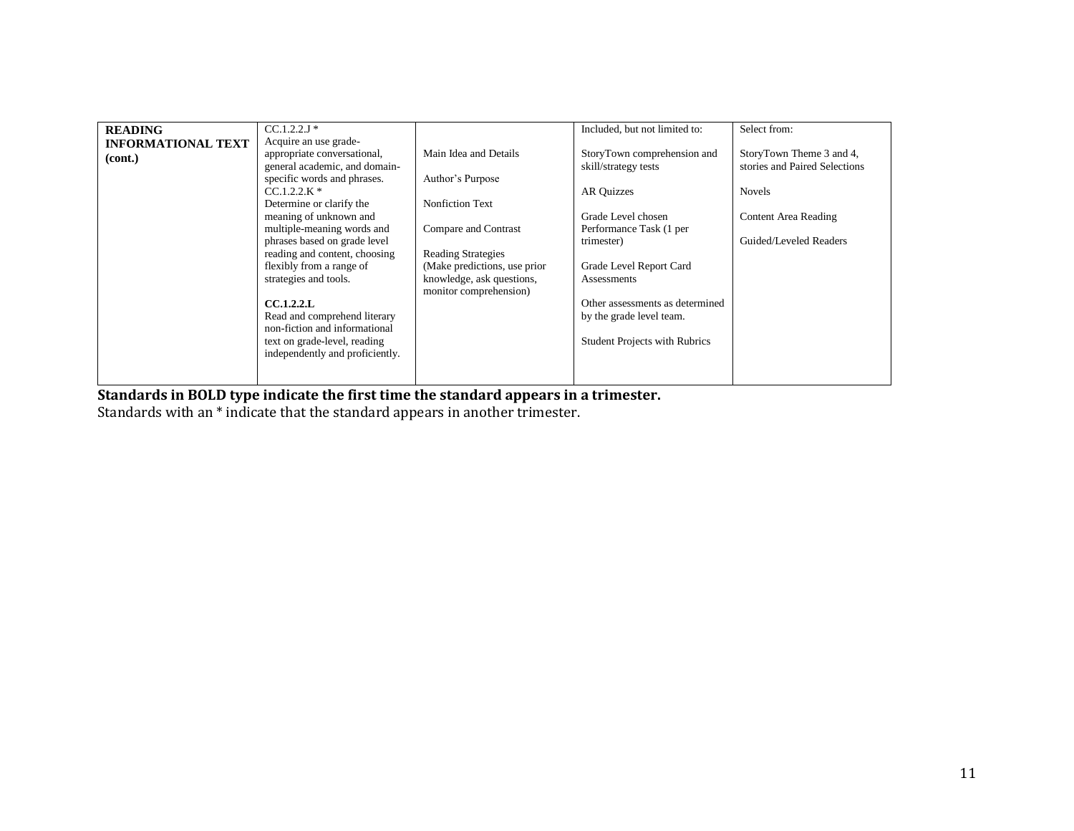| <b>READING</b>            | $CC.1.2.2J*$                    |                              | Included, but not limited to:        | Select from:                  |
|---------------------------|---------------------------------|------------------------------|--------------------------------------|-------------------------------|
| <b>INFORMATIONAL TEXT</b> | Acquire an use grade-           |                              |                                      |                               |
| (cont.)                   | appropriate conversational,     | Main Idea and Details        | StoryTown comprehension and          | StoryTown Theme 3 and 4,      |
|                           | general academic, and domain-   |                              | skill/strategy tests                 | stories and Paired Selections |
|                           | specific words and phrases.     | Author's Purpose             |                                      |                               |
|                           | $CC.1.2.2.K*$                   |                              | <b>AR Quizzes</b>                    | <b>Novels</b>                 |
|                           | Determine or clarify the        | <b>Nonfiction Text</b>       |                                      |                               |
|                           | meaning of unknown and          |                              | Grade Level chosen                   | Content Area Reading          |
|                           | multiple-meaning words and      | Compare and Contrast         | Performance Task (1 per              |                               |
|                           | phrases based on grade level    |                              | trimester)                           | Guided/Leveled Readers        |
|                           | reading and content, choosing   | <b>Reading Strategies</b>    |                                      |                               |
|                           | flexibly from a range of        | (Make predictions, use prior | Grade Level Report Card              |                               |
|                           | strategies and tools.           | knowledge, ask questions,    | Assessments                          |                               |
|                           |                                 | monitor comprehension)       |                                      |                               |
|                           | CCA.2.2.L                       |                              | Other assessments as determined      |                               |
|                           | Read and comprehend literary    |                              | by the grade level team.             |                               |
|                           | non-fiction and informational   |                              |                                      |                               |
|                           | text on grade-level, reading    |                              | <b>Student Projects with Rubrics</b> |                               |
|                           | independently and proficiently. |                              |                                      |                               |
|                           |                                 |                              |                                      |                               |
|                           |                                 |                              |                                      |                               |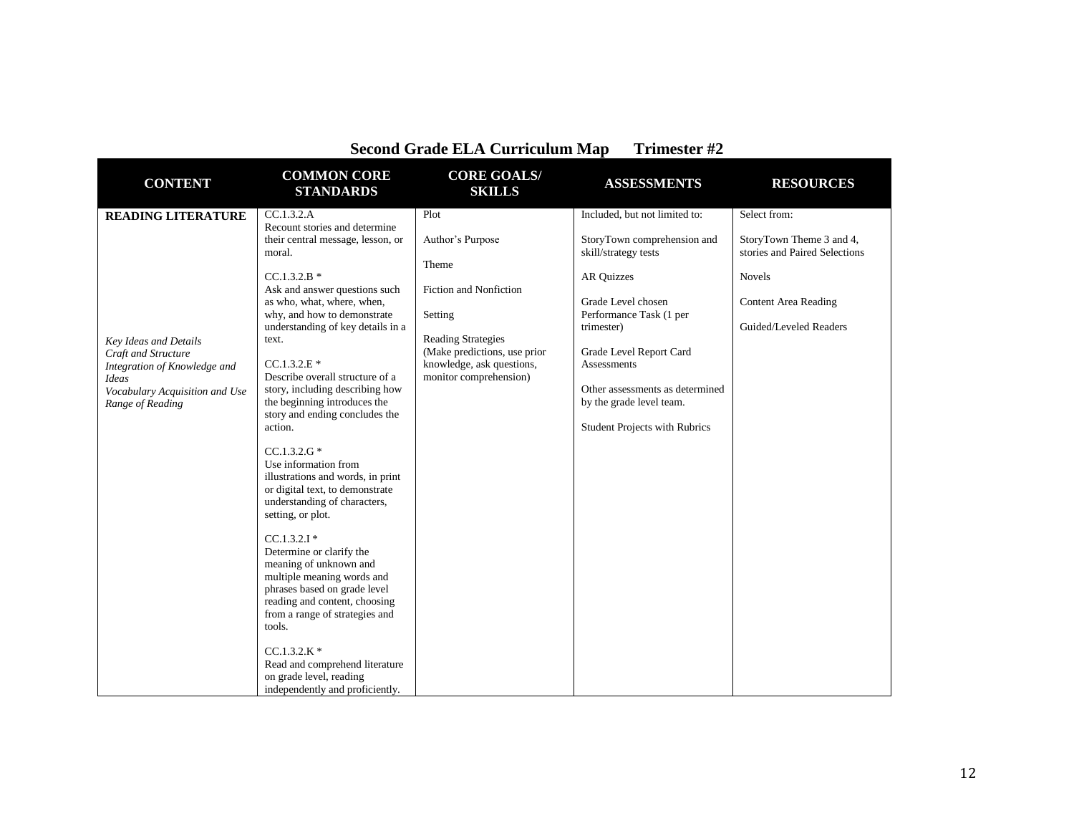| <b>CONTENT</b>                                                                                                                                                                         | <b>COMMON CORE</b><br><b>STANDARDS</b>                                                                                                                                                                                                                                                                                                                                                                                                                                                                                                                                                                             | <b>CORE GOALS/</b><br><b>SKILLS</b>                                                                                                                                                        | <b>ASSESSMENTS</b>                                                                                                                                                                                                                                                                                                        | <b>RESOURCES</b>                                                                                                                                    |
|----------------------------------------------------------------------------------------------------------------------------------------------------------------------------------------|--------------------------------------------------------------------------------------------------------------------------------------------------------------------------------------------------------------------------------------------------------------------------------------------------------------------------------------------------------------------------------------------------------------------------------------------------------------------------------------------------------------------------------------------------------------------------------------------------------------------|--------------------------------------------------------------------------------------------------------------------------------------------------------------------------------------------|---------------------------------------------------------------------------------------------------------------------------------------------------------------------------------------------------------------------------------------------------------------------------------------------------------------------------|-----------------------------------------------------------------------------------------------------------------------------------------------------|
| <b>READING LITERATURE</b><br><b>Key Ideas and Details</b><br>Craft and Structure<br>Integration of Knowledge and<br><b>Ideas</b><br>Vocabulary Acquisition and Use<br>Range of Reading | CC.1.3.2.A<br>Recount stories and determine<br>their central message, lesson, or<br>moral.<br>$CC.1.3.2.B*$<br>Ask and answer questions such<br>as who, what, where, when,<br>why, and how to demonstrate<br>understanding of key details in a<br>text.<br>$CC.1.3.2.E*$<br>Describe overall structure of a<br>story, including describing how<br>the beginning introduces the<br>story and ending concludes the<br>action.<br>$CC.1.3.2.G*$<br>Use information from<br>illustrations and words, in print<br>or digital text, to demonstrate<br>understanding of characters,<br>setting, or plot.<br>$CC.1.3.2.1*$ | Plot<br>Author's Purpose<br>Theme<br>Fiction and Nonfiction<br>Setting<br><b>Reading Strategies</b><br>(Make predictions, use prior<br>knowledge, ask questions,<br>monitor comprehension) | Included, but not limited to:<br>StoryTown comprehension and<br>skill/strategy tests<br><b>AR Quizzes</b><br>Grade Level chosen<br>Performance Task (1 per<br>trimester)<br>Grade Level Report Card<br>Assessments<br>Other assessments as determined<br>by the grade level team.<br><b>Student Projects with Rubrics</b> | Select from:<br>StoryTown Theme 3 and 4,<br>stories and Paired Selections<br><b>Novels</b><br><b>Content Area Reading</b><br>Guided/Leveled Readers |
|                                                                                                                                                                                        | Determine or clarify the<br>meaning of unknown and<br>multiple meaning words and<br>phrases based on grade level<br>reading and content, choosing<br>from a range of strategies and<br>tools.                                                                                                                                                                                                                                                                                                                                                                                                                      |                                                                                                                                                                                            |                                                                                                                                                                                                                                                                                                                           |                                                                                                                                                     |
|                                                                                                                                                                                        | $CC.1.3.2.K*$<br>Read and comprehend literature<br>on grade level, reading<br>independently and proficiently.                                                                                                                                                                                                                                                                                                                                                                                                                                                                                                      |                                                                                                                                                                                            |                                                                                                                                                                                                                                                                                                                           |                                                                                                                                                     |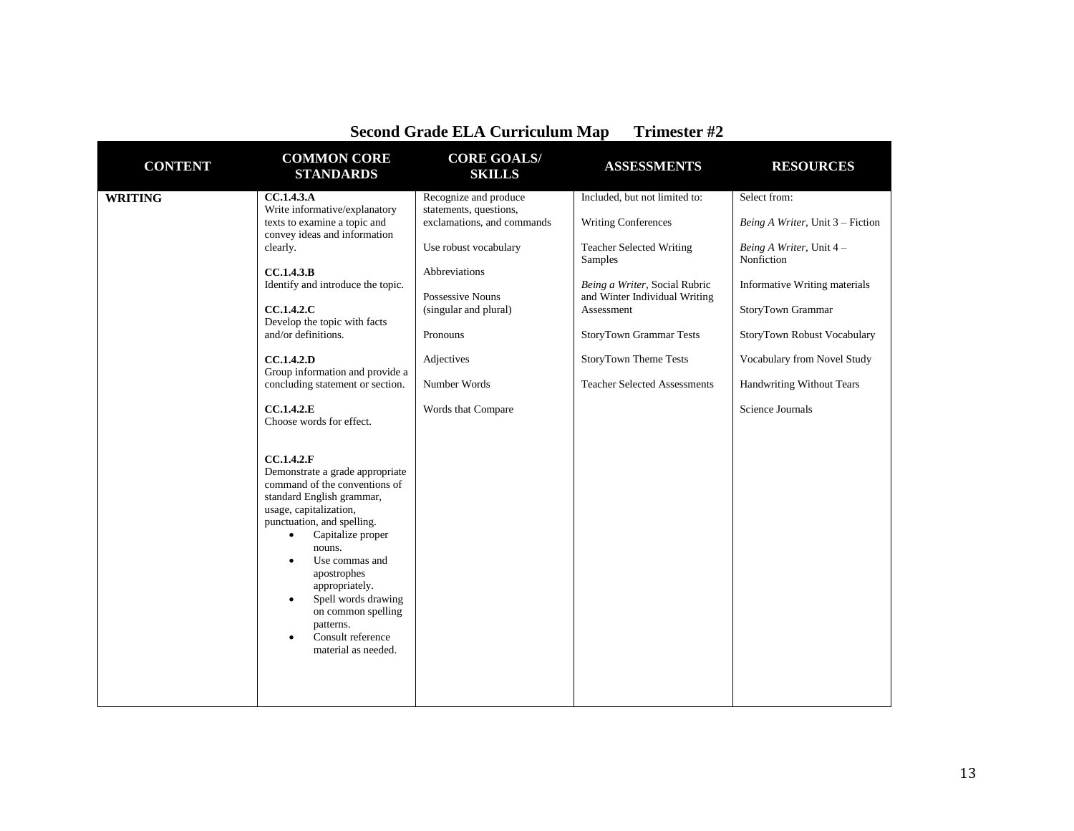| <b>CONTENT</b> | <b>COMMON CORE</b><br><b>STANDARDS</b>                                                                                                                                                                                                                                                                                                                                                                                                                                                                                                                                                                                                                                                                                                                                            | <b>CORE GOALS/</b><br><b>SKILLS</b>                                                                                                                                                                                                  | <b>ASSESSMENTS</b>                                                                                                                                                                                                                                                                   | <b>RESOURCES</b>                                                                                                                                                                                                                                                              |
|----------------|-----------------------------------------------------------------------------------------------------------------------------------------------------------------------------------------------------------------------------------------------------------------------------------------------------------------------------------------------------------------------------------------------------------------------------------------------------------------------------------------------------------------------------------------------------------------------------------------------------------------------------------------------------------------------------------------------------------------------------------------------------------------------------------|--------------------------------------------------------------------------------------------------------------------------------------------------------------------------------------------------------------------------------------|--------------------------------------------------------------------------------------------------------------------------------------------------------------------------------------------------------------------------------------------------------------------------------------|-------------------------------------------------------------------------------------------------------------------------------------------------------------------------------------------------------------------------------------------------------------------------------|
| <b>WRITING</b> | CC.1.4.3.A<br>Write informative/explanatory<br>texts to examine a topic and<br>convey ideas and information<br>clearly.<br>CC.1.4.3.B<br>Identify and introduce the topic.<br>CC.1.4.2.C<br>Develop the topic with facts<br>and/or definitions.<br>CC.1.4.2.D<br>Group information and provide a<br>concluding statement or section.<br>CC.1.4.2.E<br>Choose words for effect.<br>CC.1.4.2.F<br>Demonstrate a grade appropriate<br>command of the conventions of<br>standard English grammar,<br>usage, capitalization,<br>punctuation, and spelling.<br>Capitalize proper<br>$\bullet$<br>nouns.<br>Use commas and<br>$\bullet$<br>apostrophes<br>appropriately.<br>Spell words drawing<br>٠<br>on common spelling<br>patterns.<br>Consult reference<br>٠<br>material as needed. | Recognize and produce<br>statements, questions,<br>exclamations, and commands<br>Use robust vocabulary<br>Abbreviations<br>Possessive Nouns<br>(singular and plural)<br>Pronouns<br>Adjectives<br>Number Words<br>Words that Compare | Included, but not limited to:<br><b>Writing Conferences</b><br><b>Teacher Selected Writing</b><br>Samples<br>Being a Writer, Social Rubric<br>and Winter Individual Writing<br>Assessment<br>StoryTown Grammar Tests<br>StoryTown Theme Tests<br><b>Teacher Selected Assessments</b> | Select from:<br>Being A Writer, Unit 3 – Fiction<br>Being A Writer, Unit 4 -<br>Nonfiction<br><b>Informative Writing materials</b><br>StoryTown Grammar<br>StoryTown Robust Vocabulary<br>Vocabulary from Novel Study<br><b>Handwriting Without Tears</b><br>Science Journals |
|                |                                                                                                                                                                                                                                                                                                                                                                                                                                                                                                                                                                                                                                                                                                                                                                                   |                                                                                                                                                                                                                                      |                                                                                                                                                                                                                                                                                      |                                                                                                                                                                                                                                                                               |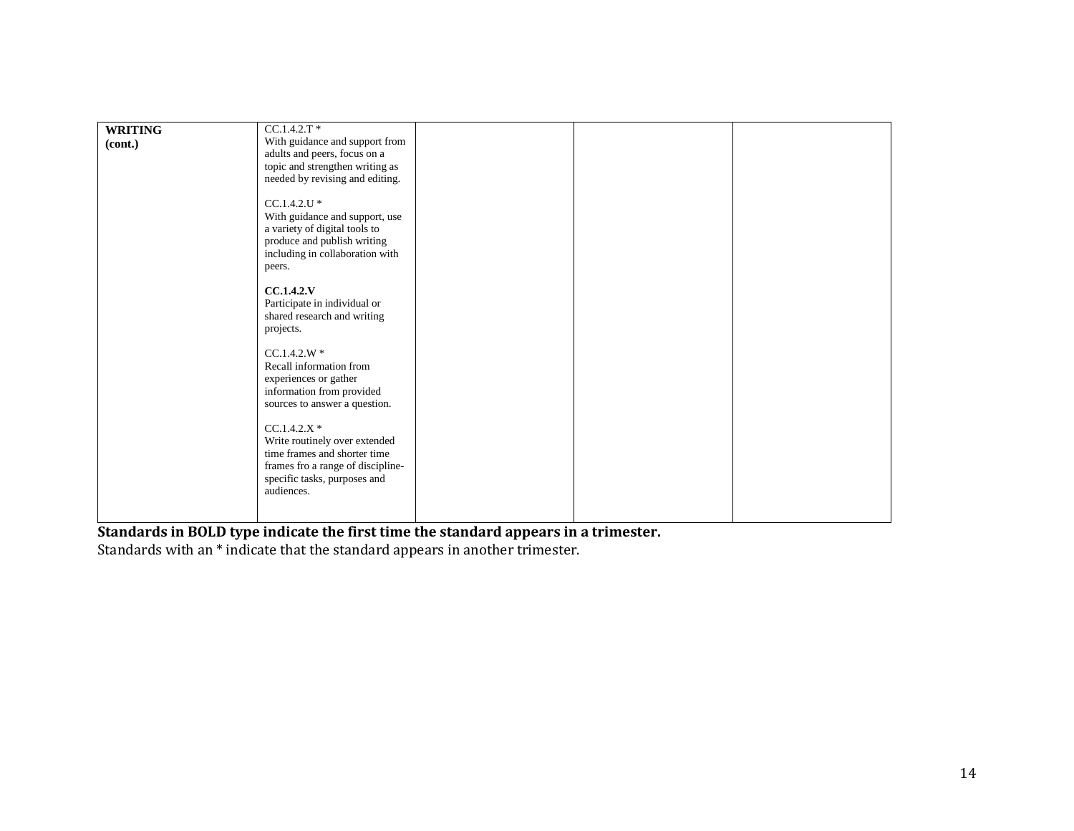| <b>WRITING</b><br>(cont.) | $CC.1.4.2.T*$<br>With guidance and support from<br>adults and peers, focus on a<br>topic and strengthen writing as<br>needed by revising and editing.<br>$CC.1.4.2.U$ *<br>With guidance and support, use<br>a variety of digital tools to<br>produce and publish writing<br>including in collaboration with<br>peers.<br>CC.1.4.2.V<br>Participate in individual or<br>shared research and writing<br>projects.<br>$CC.1.4.2.W*$<br>Recall information from<br>experiences or gather<br>information from provided<br>sources to answer a question.<br>$CC.1.4.2.X*$<br>Write routinely over extended<br>time frames and shorter time<br>frames fro a range of discipline-<br>specific tasks, purposes and<br>audiences. |  |  |
|---------------------------|--------------------------------------------------------------------------------------------------------------------------------------------------------------------------------------------------------------------------------------------------------------------------------------------------------------------------------------------------------------------------------------------------------------------------------------------------------------------------------------------------------------------------------------------------------------------------------------------------------------------------------------------------------------------------------------------------------------------------|--|--|
|                           |                                                                                                                                                                                                                                                                                                                                                                                                                                                                                                                                                                                                                                                                                                                          |  |  |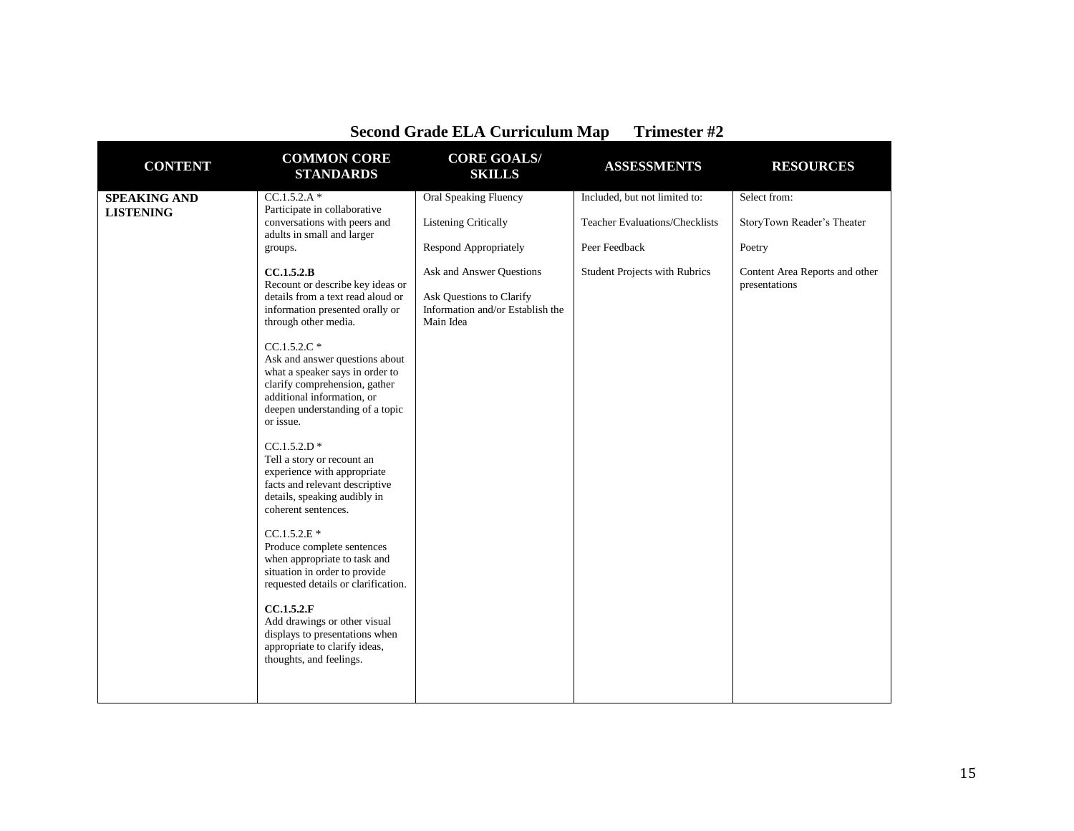| <b>CONTENT</b>      | <b>COMMON CORE</b><br><b>STANDARDS</b>                                                                                                                                                            | <b>CORE GOALS/</b><br><b>SKILLS</b>                                                                   | <b>ASSESSMENTS</b>                    | <b>RESOURCES</b>                                |
|---------------------|---------------------------------------------------------------------------------------------------------------------------------------------------------------------------------------------------|-------------------------------------------------------------------------------------------------------|---------------------------------------|-------------------------------------------------|
| <b>SPEAKING AND</b> | $CC.1.5.2.A*$                                                                                                                                                                                     | <b>Oral Speaking Fluency</b>                                                                          | Included, but not limited to:         | Select from:                                    |
| <b>LISTENING</b>    | Participate in collaborative<br>conversations with peers and<br>adults in small and larger                                                                                                        | <b>Listening Critically</b>                                                                           | <b>Teacher Evaluations/Checklists</b> | StoryTown Reader's Theater                      |
|                     | groups.                                                                                                                                                                                           | Respond Appropriately                                                                                 | Peer Feedback                         | Poetry                                          |
|                     | CC.1.5.2.B<br>Recount or describe key ideas or<br>details from a text read aloud or<br>information presented orally or<br>through other media.                                                    | Ask and Answer Questions<br>Ask Questions to Clarify<br>Information and/or Establish the<br>Main Idea | <b>Student Projects with Rubrics</b>  | Content Area Reports and other<br>presentations |
|                     | $CC.1.5.2.C*$<br>Ask and answer questions about<br>what a speaker says in order to<br>clarify comprehension, gather<br>additional information, or<br>deepen understanding of a topic<br>or issue. |                                                                                                       |                                       |                                                 |
|                     | $CC.1.5.2.D*$<br>Tell a story or recount an<br>experience with appropriate<br>facts and relevant descriptive<br>details, speaking audibly in<br>coherent sentences.                               |                                                                                                       |                                       |                                                 |
|                     | $CC.1.5.2.E*$<br>Produce complete sentences<br>when appropriate to task and<br>situation in order to provide<br>requested details or clarification.                                               |                                                                                                       |                                       |                                                 |
|                     | CC.1.5.2.F<br>Add drawings or other visual<br>displays to presentations when<br>appropriate to clarify ideas,<br>thoughts, and feelings.                                                          |                                                                                                       |                                       |                                                 |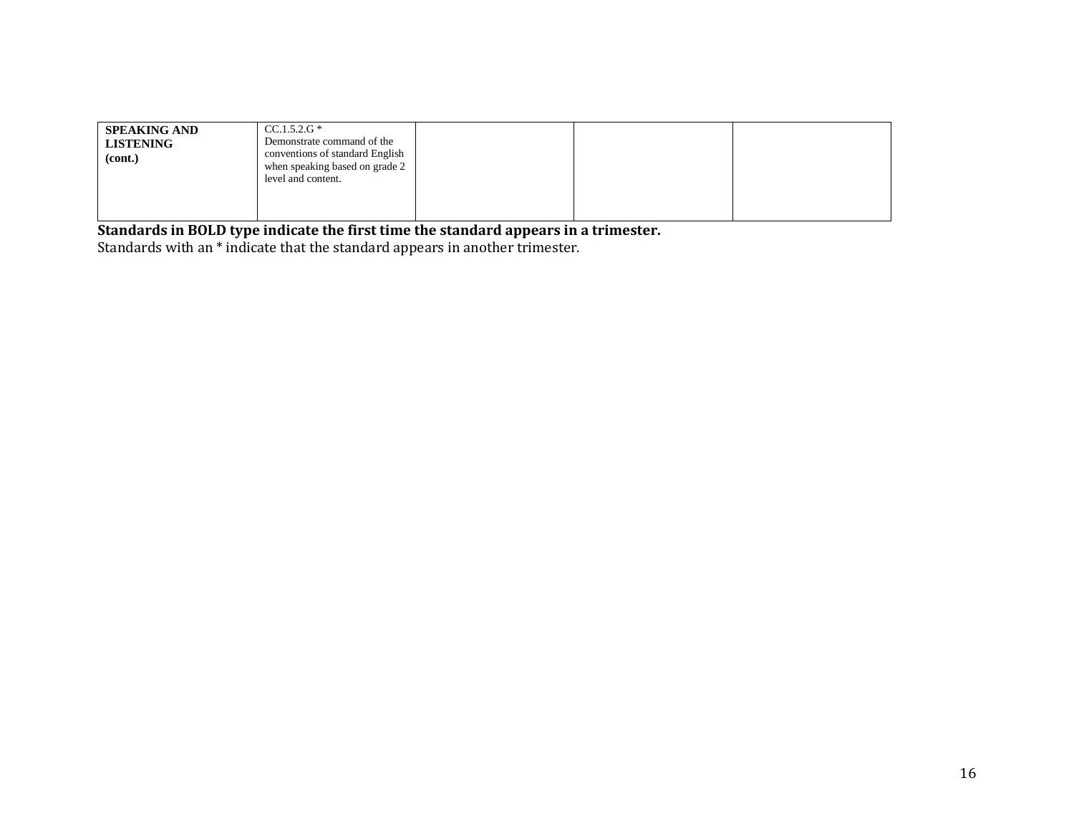| <b>SPEAKING AND</b><br><b>LISTENING</b><br>(cont.) | $CC.1.5.2.G*$<br>Demonstrate command of the<br>conventions of standard English<br>when speaking based on grade 2<br>level and content. |  |  |
|----------------------------------------------------|----------------------------------------------------------------------------------------------------------------------------------------|--|--|
|                                                    |                                                                                                                                        |  |  |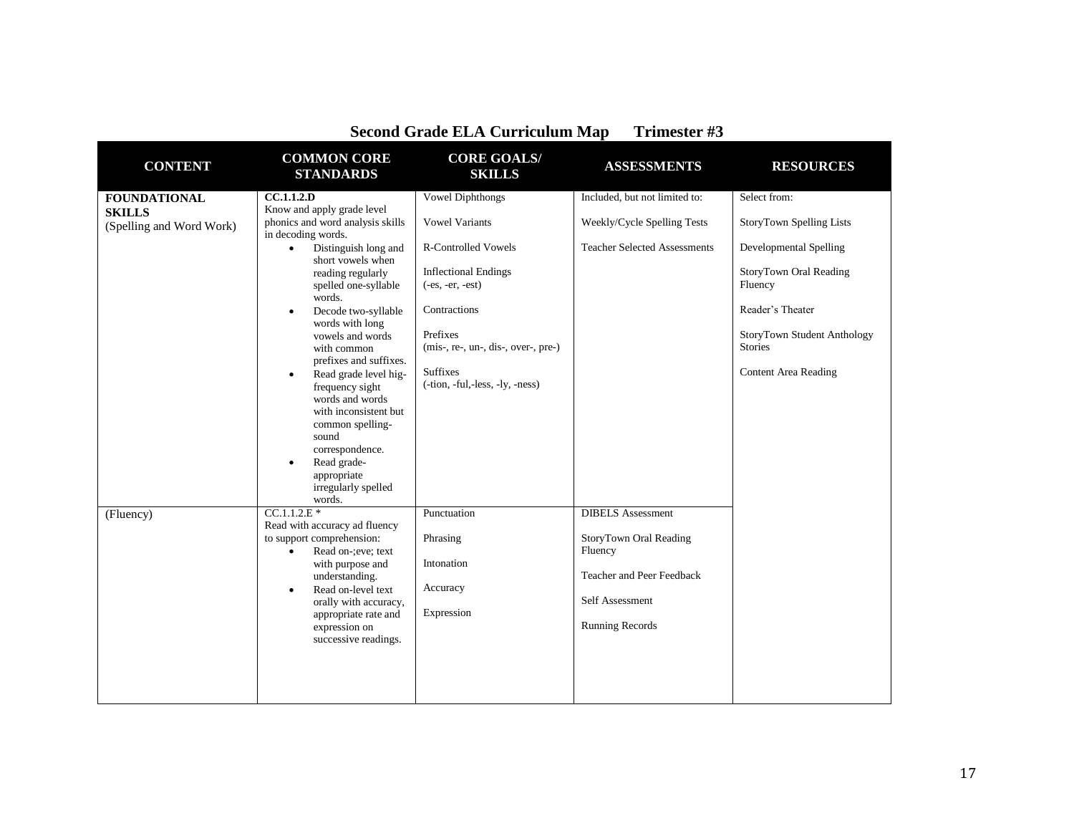| <b>CONTENT</b>                                                                | <b>COMMON CORE</b><br><b>STANDARDS</b>                                                                                                                                                                                                                                                                                                                                                                                                                                                                                                                                                                                     | <b>CORE GOALS/</b><br><b>SKILLS</b>                                                                                                                                                                                                                                              | <b>ASSESSMENTS</b>                                                                                                              | <b>RESOURCES</b>                                                                                                                                                                                                   |
|-------------------------------------------------------------------------------|----------------------------------------------------------------------------------------------------------------------------------------------------------------------------------------------------------------------------------------------------------------------------------------------------------------------------------------------------------------------------------------------------------------------------------------------------------------------------------------------------------------------------------------------------------------------------------------------------------------------------|----------------------------------------------------------------------------------------------------------------------------------------------------------------------------------------------------------------------------------------------------------------------------------|---------------------------------------------------------------------------------------------------------------------------------|--------------------------------------------------------------------------------------------------------------------------------------------------------------------------------------------------------------------|
| <b>FOUNDATIONAL</b><br><b>SKILLS</b><br>(Spelling and Word Work)<br>(Fluency) | CC.1.1.2.D<br>Know and apply grade level<br>phonics and word analysis skills<br>in decoding words.<br>Distinguish long and<br>$\bullet$<br>short vowels when<br>reading regularly<br>spelled one-syllable<br>words.<br>Decode two-syllable<br>$\bullet$<br>words with long<br>vowels and words<br>with common<br>prefixes and suffixes.<br>Read grade level hig-<br>$\bullet$<br>frequency sight<br>words and words<br>with inconsistent but<br>common spelling-<br>sound<br>correspondence.<br>Read grade-<br>$\bullet$<br>appropriate<br>irregularly spelled<br>words.<br>$CC.1.1.2.E*$<br>Read with accuracy ad fluency | <b>Vowel Diphthongs</b><br><b>Vowel Variants</b><br><b>R-Controlled Vowels</b><br><b>Inflectional Endings</b><br>$(-es, -er, -est)$<br>Contractions<br>Prefixes<br>$(mis-, re-, un-, dis-, over-, pre-)$<br><b>Suffixes</b><br>$(-tion, -ful, -less, -ly, -ness)$<br>Punctuation | Included, but not limited to:<br>Weekly/Cycle Spelling Tests<br><b>Teacher Selected Assessments</b><br><b>DIBELS</b> Assessment | Select from:<br><b>StoryTown Spelling Lists</b><br>Developmental Spelling<br>StoryTown Oral Reading<br>Fluency<br>Reader's Theater<br>StoryTown Student Anthology<br><b>Stories</b><br><b>Content Area Reading</b> |
|                                                                               | to support comprehension:<br>Read on-: eve; text<br>$\bullet$<br>with purpose and<br>understanding.<br>Read on-level text<br>$\bullet$<br>orally with accuracy,<br>appropriate rate and<br>expression on<br>successive readings.                                                                                                                                                                                                                                                                                                                                                                                           | Phrasing<br>Intonation<br>Accuracy<br>Expression                                                                                                                                                                                                                                 | StoryTown Oral Reading<br>Fluency<br>Teacher and Peer Feedback<br>Self Assessment<br><b>Running Records</b>                     |                                                                                                                                                                                                                    |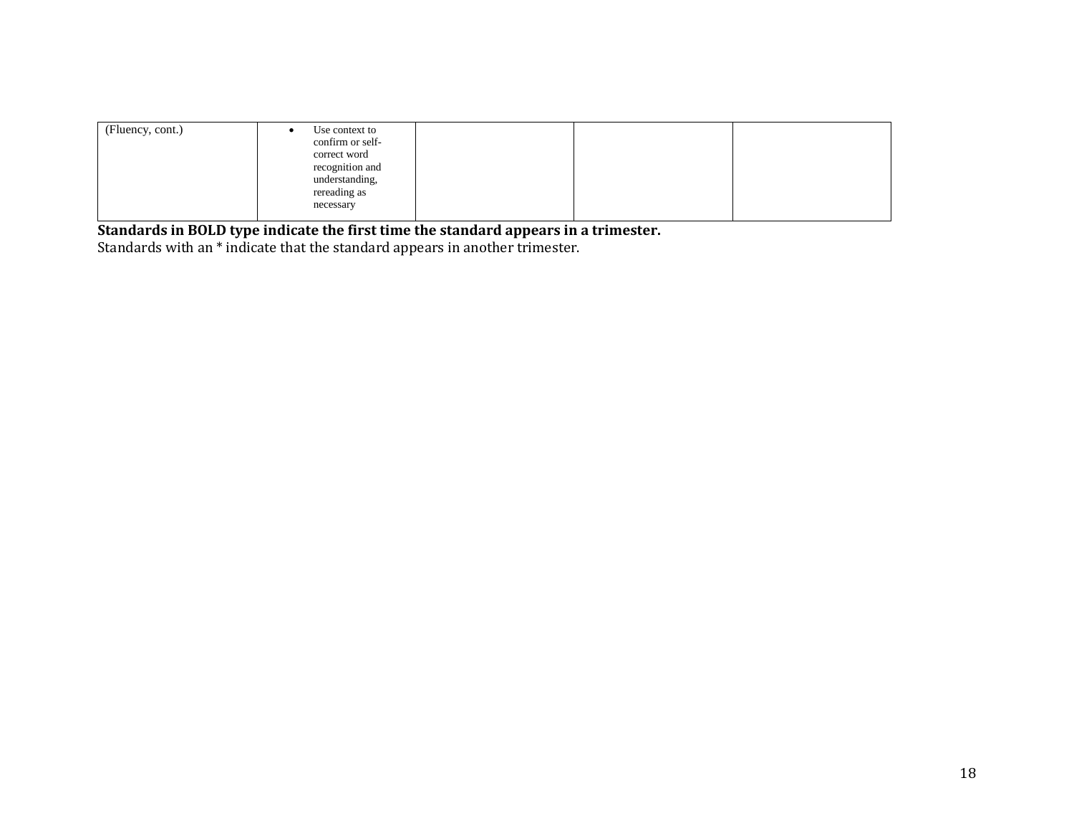| (Fluency, cont.)<br>Use context to<br>confirm or self-<br>correct word<br>recognition and<br>understanding,<br>rereading as<br>necessary |  |  |
|------------------------------------------------------------------------------------------------------------------------------------------|--|--|
|------------------------------------------------------------------------------------------------------------------------------------------|--|--|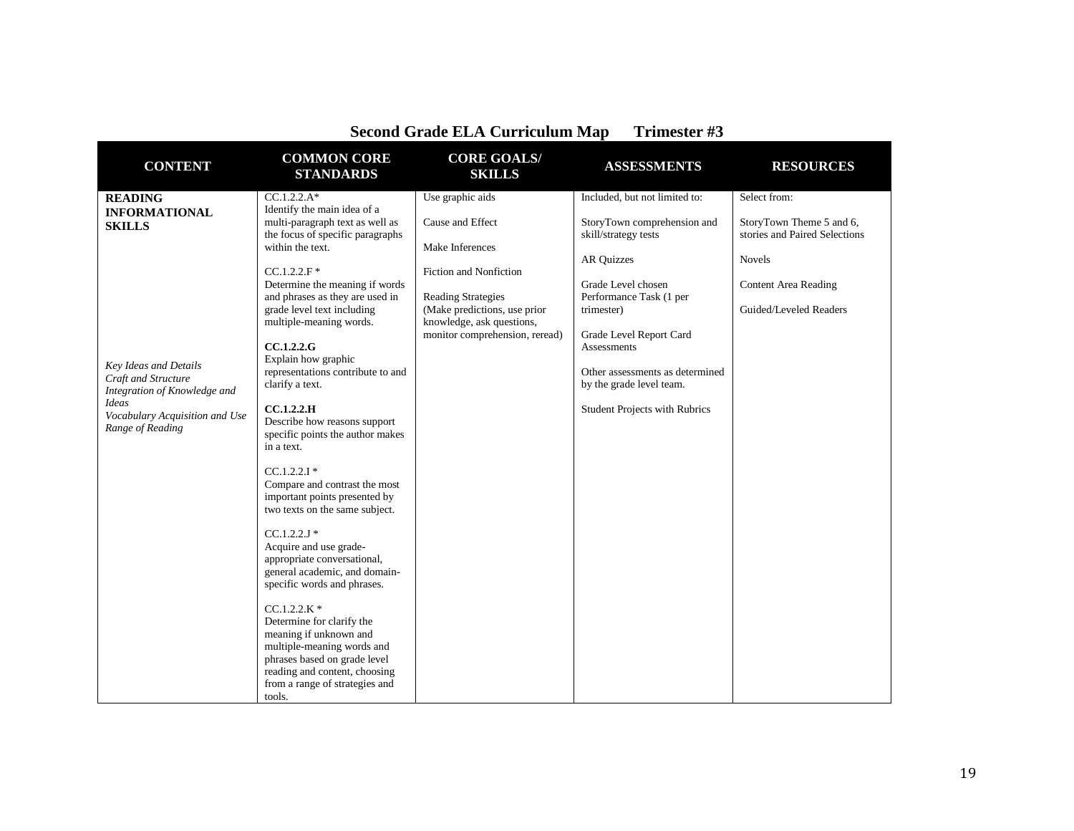|                                                                    | <b>COMMON CORE</b>                                                                                                                                                  | become Gruut Ellis Curriculum Mu<br><b>CORE GOALS/</b>      | TTTHING OF HE                                                |                                                       |
|--------------------------------------------------------------------|---------------------------------------------------------------------------------------------------------------------------------------------------------------------|-------------------------------------------------------------|--------------------------------------------------------------|-------------------------------------------------------|
| <b>CONTENT</b>                                                     | <b>STANDARDS</b>                                                                                                                                                    | <b>SKILLS</b>                                               | <b>ASSESSMENTS</b>                                           | <b>RESOURCES</b>                                      |
| <b>READING</b><br><b>INFORMATIONAL</b>                             | $CC.1.2.2.A*$<br>Identify the main idea of a<br>multi-paragraph text as well as                                                                                     | Use graphic aids<br>Cause and Effect                        | Included, but not limited to:<br>StoryTown comprehension and | Select from:<br>StoryTown Theme 5 and 6,              |
| <b>SKILLS</b>                                                      | the focus of specific paragraphs<br>within the text.                                                                                                                | Make Inferences                                             | skill/strategy tests                                         | stories and Paired Selections                         |
|                                                                    | $CC.1.2.2.F*$                                                                                                                                                       | Fiction and Nonfiction                                      | <b>AR Quizzes</b>                                            | <b>Novels</b>                                         |
|                                                                    | Determine the meaning if words<br>and phrases as they are used in<br>grade level text including                                                                     | <b>Reading Strategies</b><br>(Make predictions, use prior   | Grade Level chosen<br>Performance Task (1 per<br>trimester)  | <b>Content Area Reading</b><br>Guided/Leveled Readers |
|                                                                    | multiple-meaning words.                                                                                                                                             | knowledge, ask questions,<br>monitor comprehension, reread) | Grade Level Report Card                                      |                                                       |
| <b>Key Ideas and Details</b>                                       | CC.1.2.2.G<br>Explain how graphic                                                                                                                                   |                                                             | Assessments                                                  |                                                       |
| Craft and Structure<br>Integration of Knowledge and                | representations contribute to and<br>clarify a text.                                                                                                                |                                                             | Other assessments as determined<br>by the grade level team.  |                                                       |
| <b>Ideas</b><br>Vocabulary Acquisition and Use<br>Range of Reading | CC.1.2.2.H<br>Describe how reasons support<br>specific points the author makes<br>in a text.                                                                        |                                                             | <b>Student Projects with Rubrics</b>                         |                                                       |
|                                                                    | $CC.1.2.2.1*$<br>Compare and contrast the most<br>important points presented by<br>two texts on the same subject.                                                   |                                                             |                                                              |                                                       |
|                                                                    | $CC.1.2.2J*$<br>Acquire and use grade-<br>appropriate conversational,<br>general academic, and domain-<br>specific words and phrases.                               |                                                             |                                                              |                                                       |
|                                                                    | $CC.1.2.2.K*$<br>Determine for clarify the<br>meaning if unknown and<br>multiple-meaning words and<br>phrases based on grade level<br>reading and content, choosing |                                                             |                                                              |                                                       |
|                                                                    | from a range of strategies and<br>tools.                                                                                                                            |                                                             |                                                              |                                                       |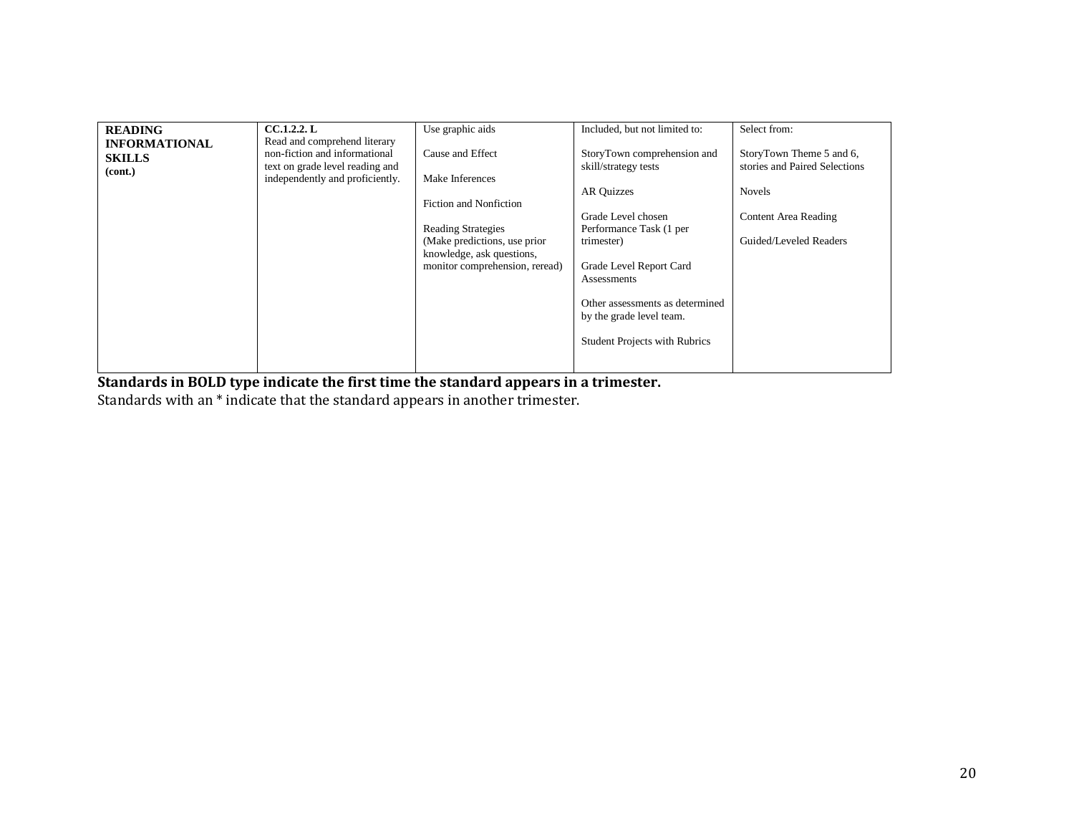| <b>READING</b>       | CC.1.2.2. L                     | Use graphic aids               | Included, but not limited to:        | Select from:                  |
|----------------------|---------------------------------|--------------------------------|--------------------------------------|-------------------------------|
| <b>INFORMATIONAL</b> | Read and comprehend literary    |                                |                                      |                               |
| <b>SKILLS</b>        | non-fiction and informational   | Cause and Effect               | StoryTown comprehension and          | StoryTown Theme 5 and 6,      |
|                      | text on grade level reading and |                                | skill/strategy tests                 | stories and Paired Selections |
| (cont.)              | independently and proficiently. | Make Inferences                |                                      |                               |
|                      |                                 |                                | <b>AR Quizzes</b>                    | <b>Novels</b>                 |
|                      |                                 | Fiction and Nonfiction         |                                      |                               |
|                      |                                 |                                | Grade Level chosen                   | Content Area Reading          |
|                      |                                 | <b>Reading Strategies</b>      | Performance Task (1 per              |                               |
|                      |                                 | (Make predictions, use prior)  | trimester)                           | Guided/Leveled Readers        |
|                      |                                 | knowledge, ask questions,      |                                      |                               |
|                      |                                 | monitor comprehension, reread) | Grade Level Report Card              |                               |
|                      |                                 |                                | Assessments                          |                               |
|                      |                                 |                                |                                      |                               |
|                      |                                 |                                | Other assessments as determined      |                               |
|                      |                                 |                                |                                      |                               |
|                      |                                 |                                | by the grade level team.             |                               |
|                      |                                 |                                |                                      |                               |
|                      |                                 |                                | <b>Student Projects with Rubrics</b> |                               |
|                      |                                 |                                |                                      |                               |
|                      |                                 |                                |                                      |                               |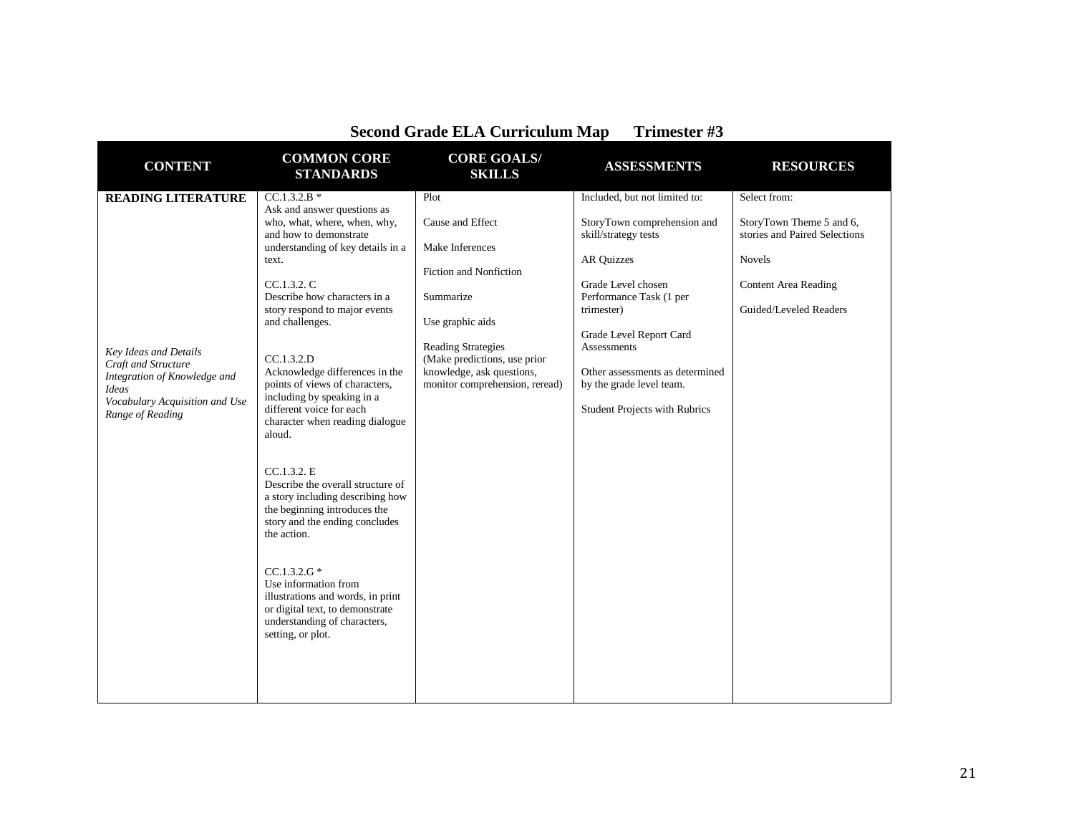| become Gruuc EEIT curriculum Mu<br><b>TITHERS</b>                                                                                                  |                                                                                                                                                                                                                                                                                                                                                                                                                                                                                                                                      |                                                                                                                          |                                                                                                                                                                          |                                                                                                                                              |
|----------------------------------------------------------------------------------------------------------------------------------------------------|--------------------------------------------------------------------------------------------------------------------------------------------------------------------------------------------------------------------------------------------------------------------------------------------------------------------------------------------------------------------------------------------------------------------------------------------------------------------------------------------------------------------------------------|--------------------------------------------------------------------------------------------------------------------------|--------------------------------------------------------------------------------------------------------------------------------------------------------------------------|----------------------------------------------------------------------------------------------------------------------------------------------|
| <b>CONTENT</b>                                                                                                                                     | <b>COMMON CORE</b><br><b>STANDARDS</b>                                                                                                                                                                                                                                                                                                                                                                                                                                                                                               | <b>CORE GOALS/</b><br><b>SKILLS</b>                                                                                      | <b>ASSESSMENTS</b>                                                                                                                                                       | <b>RESOURCES</b>                                                                                                                             |
| <b>READING LITERATURE</b>                                                                                                                          | $CC.1.3.2.B*$<br>Ask and answer questions as<br>who, what, where, when, why,<br>and how to demonstrate<br>understanding of key details in a<br>text.<br>CC.1.3.2. C<br>Describe how characters in a<br>story respond to major events<br>and challenges.                                                                                                                                                                                                                                                                              | Plot<br>Cause and Effect<br>Make Inferences<br>Fiction and Nonfiction<br>Summarize<br>Use graphic aids                   | Included, but not limited to:<br>StoryTown comprehension and<br>skill/strategy tests<br><b>AR Quizzes</b><br>Grade Level chosen<br>Performance Task (1 per<br>trimester) | Select from:<br>StoryTown Theme 5 and 6,<br>stories and Paired Selections<br>Novels<br><b>Content Area Reading</b><br>Guided/Leveled Readers |
| Key Ideas and Details<br>Craft and Structure<br>Integration of Knowledge and<br><b>Ideas</b><br>Vocabulary Acquisition and Use<br>Range of Reading | CC.1.3.2.D<br>Acknowledge differences in the<br>points of views of characters,<br>including by speaking in a<br>different voice for each<br>character when reading dialogue<br>aloud.<br>CC.1.3.2. E<br>Describe the overall structure of<br>a story including describing how<br>the beginning introduces the<br>story and the ending concludes<br>the action.<br>$CC.1.3.2.G*$<br>Use information from<br>illustrations and words, in print<br>or digital text, to demonstrate<br>understanding of characters,<br>setting, or plot. | <b>Reading Strategies</b><br>(Make predictions, use prior<br>knowledge, ask questions,<br>monitor comprehension, reread) | Grade Level Report Card<br>Assessments<br>Other assessments as determined<br>by the grade level team.<br><b>Student Projects with Rubrics</b>                            |                                                                                                                                              |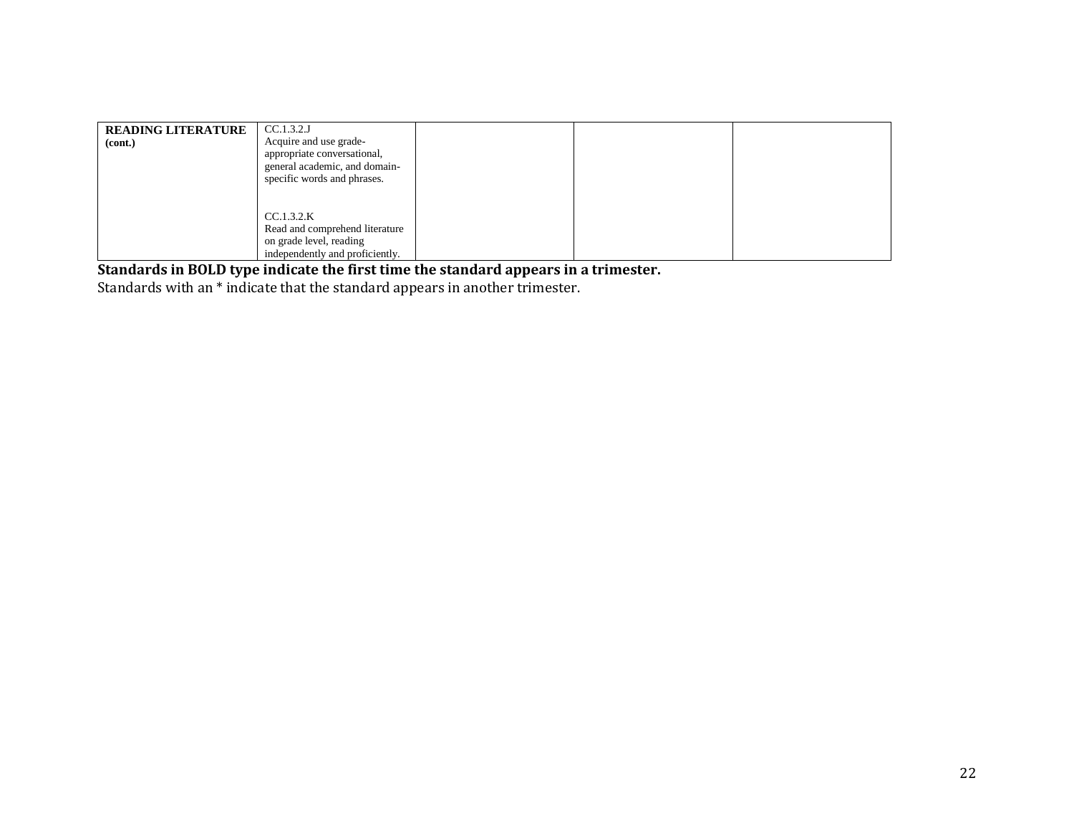| <b>READING LITERATURE</b><br>(cont.) | CC.1.3.2J<br>Acquire and use grade-<br>appropriate conversational,<br>general academic, and domain-<br>specific words and phrases. |  |  |
|--------------------------------------|------------------------------------------------------------------------------------------------------------------------------------|--|--|
|                                      | CC.1.3.2.K<br>Read and comprehend literature<br>on grade level, reading<br>independently and proficiently.                         |  |  |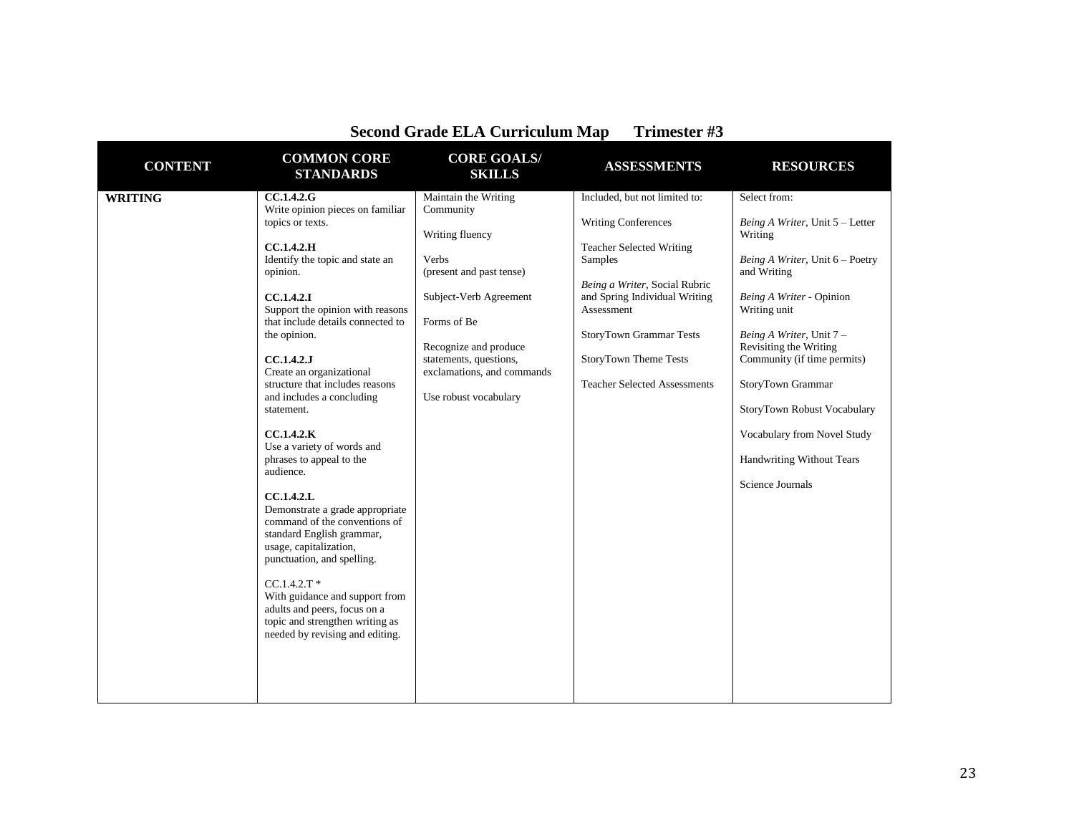| <b>CONTENT</b> | <b>COMMON CORE</b><br><b>STANDARDS</b>                                                                                                                                                                                                                                                                                                                                                                                                                                                                                                                                                                                                                                                                                                                                                             | <b>CORE GOALS/</b><br><b>SKILLS</b>                                                                                                                                                                                                          | <b>ASSESSMENTS</b>                                                                                                                                                                                                                                                                                 | <b>RESOURCES</b>                                                                                                                                                                                                                                                                                                                                                                         |
|----------------|----------------------------------------------------------------------------------------------------------------------------------------------------------------------------------------------------------------------------------------------------------------------------------------------------------------------------------------------------------------------------------------------------------------------------------------------------------------------------------------------------------------------------------------------------------------------------------------------------------------------------------------------------------------------------------------------------------------------------------------------------------------------------------------------------|----------------------------------------------------------------------------------------------------------------------------------------------------------------------------------------------------------------------------------------------|----------------------------------------------------------------------------------------------------------------------------------------------------------------------------------------------------------------------------------------------------------------------------------------------------|------------------------------------------------------------------------------------------------------------------------------------------------------------------------------------------------------------------------------------------------------------------------------------------------------------------------------------------------------------------------------------------|
| <b>WRITING</b> | <b>CC.1.4.2.G</b><br>Write opinion pieces on familiar<br>topics or texts.<br>CC.1.4.2.H<br>Identify the topic and state an<br>opinion.<br><b>CC.1.4.2.I</b><br>Support the opinion with reasons<br>that include details connected to<br>the opinion.<br>CC.1.4.2.J<br>Create an organizational<br>structure that includes reasons<br>and includes a concluding<br>statement.<br>CC.1.4.2.K<br>Use a variety of words and<br>phrases to appeal to the<br>audience.<br>CC.1.4.2.L<br>Demonstrate a grade appropriate<br>command of the conventions of<br>standard English grammar,<br>usage, capitalization,<br>punctuation, and spelling.<br>$CC.1.4.2.T$ *<br>With guidance and support from<br>adults and peers, focus on a<br>topic and strengthen writing as<br>needed by revising and editing. | Maintain the Writing<br>Community<br>Writing fluency<br>Verbs<br>(present and past tense)<br>Subject-Verb Agreement<br>Forms of Be<br>Recognize and produce<br>statements, questions,<br>exclamations, and commands<br>Use robust vocabulary | Included, but not limited to:<br><b>Writing Conferences</b><br><b>Teacher Selected Writing</b><br>Samples<br>Being a Writer, Social Rubric<br>and Spring Individual Writing<br>Assessment<br><b>StoryTown Grammar Tests</b><br><b>StoryTown Theme Tests</b><br><b>Teacher Selected Assessments</b> | Select from:<br>Being A Writer, Unit 5 - Letter<br>Writing<br>Being A Writer, Unit 6 - Poetry<br>and Writing<br>Being A Writer - Opinion<br>Writing unit<br>Being A Writer, Unit 7 -<br>Revisiting the Writing<br>Community (if time permits)<br>StoryTown Grammar<br>StoryTown Robust Vocabulary<br>Vocabulary from Novel Study<br><b>Handwriting Without Tears</b><br>Science Journals |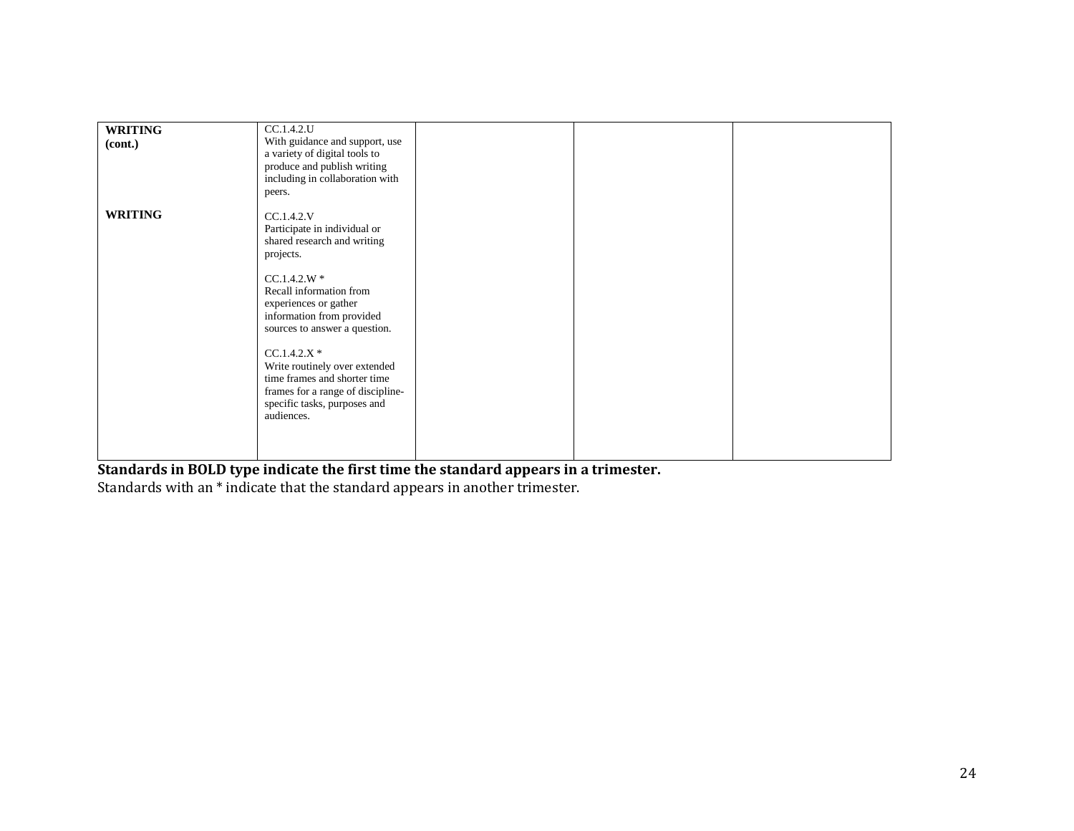| <b>WRITING</b> | CC.1.4.2.U                                                                                                                                                                                                                                                                                                                                                                                     |  |  |
|----------------|------------------------------------------------------------------------------------------------------------------------------------------------------------------------------------------------------------------------------------------------------------------------------------------------------------------------------------------------------------------------------------------------|--|--|
| (cont.)        | With guidance and support, use<br>a variety of digital tools to<br>produce and publish writing<br>including in collaboration with<br>peers.                                                                                                                                                                                                                                                    |  |  |
| <b>WRITING</b> | CC.1.4.2.V<br>Participate in individual or<br>shared research and writing<br>projects.<br>$CC.1.4.2.W*$<br>Recall information from<br>experiences or gather<br>information from provided<br>sources to answer a question.<br>$CC.1.4.2.X*$<br>Write routinely over extended<br>time frames and shorter time<br>frames for a range of discipline-<br>specific tasks, purposes and<br>audiences. |  |  |
|                |                                                                                                                                                                                                                                                                                                                                                                                                |  |  |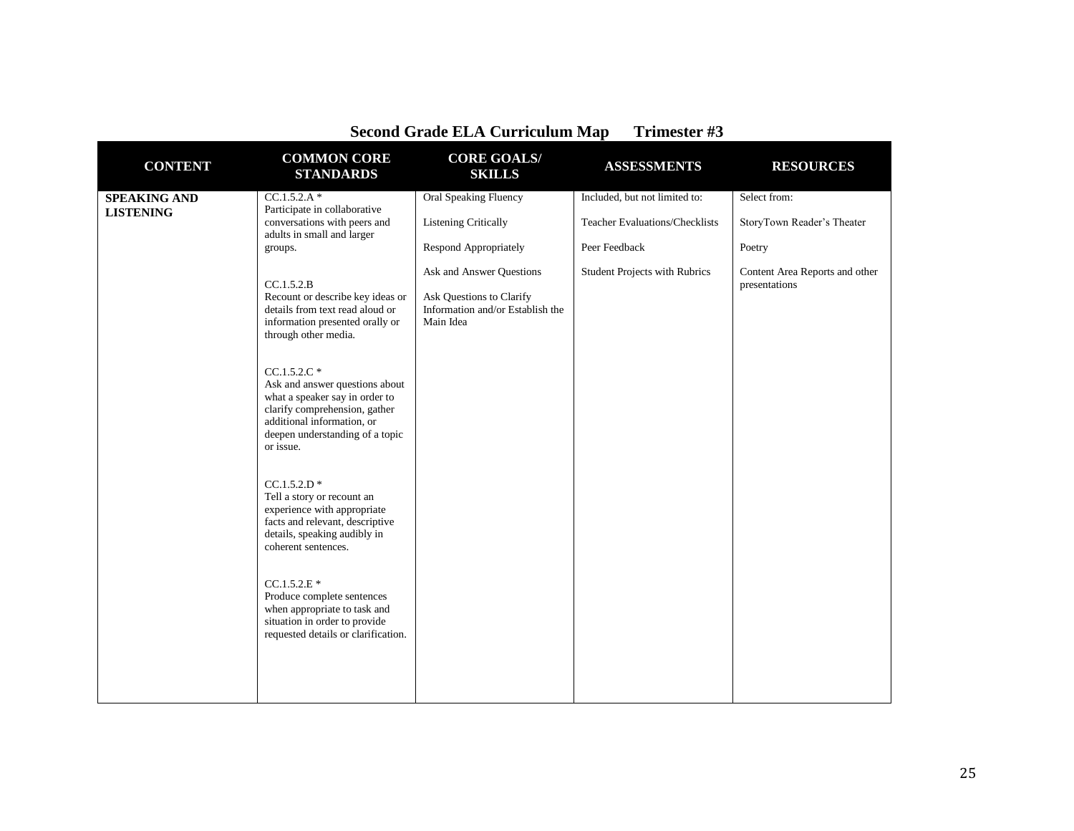| <b>CONTENT</b>                                                                                                 | <b>COMMON CORE</b><br><b>STANDARDS</b>                                                                                                                                                            | <b>CORE GOALS/</b><br><b>SKILLS</b>                                       | <b>ASSESSMENTS</b>            | <b>RESOURCES</b>                                |
|----------------------------------------------------------------------------------------------------------------|---------------------------------------------------------------------------------------------------------------------------------------------------------------------------------------------------|---------------------------------------------------------------------------|-------------------------------|-------------------------------------------------|
| <b>SPEAKING AND</b>                                                                                            | $CC.1.5.2.A*$                                                                                                                                                                                     | <b>Oral Speaking Fluency</b>                                              | Included, but not limited to: | Select from:                                    |
| Participate in collaborative<br><b>LISTENING</b><br>conversations with peers and<br>adults in small and larger | <b>Listening Critically</b>                                                                                                                                                                       | <b>Teacher Evaluations/Checklists</b>                                     | StoryTown Reader's Theater    |                                                 |
|                                                                                                                | groups.                                                                                                                                                                                           | <b>Respond Appropriately</b>                                              | Peer Feedback                 | Poetry                                          |
|                                                                                                                | CC.1.5.2.B                                                                                                                                                                                        | Ask and Answer Questions                                                  | Student Projects with Rubrics | Content Area Reports and other<br>presentations |
|                                                                                                                | Recount or describe key ideas or<br>details from text read aloud or<br>information presented orally or<br>through other media.                                                                    | Ask Questions to Clarify<br>Information and/or Establish the<br>Main Idea |                               |                                                 |
|                                                                                                                | $CC.1.5.2.C$ *<br>Ask and answer questions about<br>what a speaker say in order to<br>clarify comprehension, gather<br>additional information, or<br>deepen understanding of a topic<br>or issue. |                                                                           |                               |                                                 |
|                                                                                                                | $CC.1.5.2.D$ *<br>Tell a story or recount an<br>experience with appropriate<br>facts and relevant, descriptive<br>details, speaking audibly in<br>coherent sentences.                             |                                                                           |                               |                                                 |
|                                                                                                                | $CC.1.5.2.E*$<br>Produce complete sentences<br>when appropriate to task and<br>situation in order to provide<br>requested details or clarification.                                               |                                                                           |                               |                                                 |
|                                                                                                                |                                                                                                                                                                                                   |                                                                           |                               |                                                 |